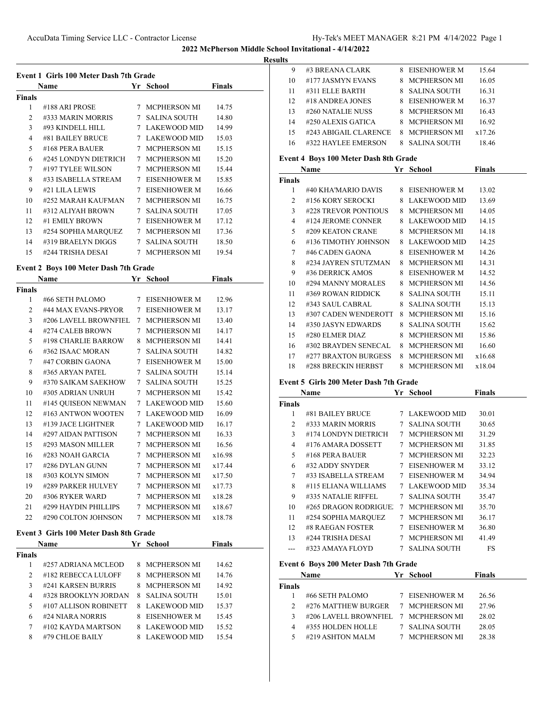**Result** 

|                | Event 1 Girls 100 Meter Dash 7th Grade |     |                     |               |
|----------------|----------------------------------------|-----|---------------------|---------------|
|                | Name                                   | Yr. | School              | <b>Finals</b> |
| <b>Finals</b>  |                                        |     |                     |               |
| 1              | #188 ARI PROSE                         | 7   | <b>MCPHERSON MI</b> | 14.75         |
| $\overline{2}$ | #333 MARIN MORRIS                      | 7   | <b>SALINA SOUTH</b> | 14.80         |
| 3              | #93 KINDELL HILL                       |     | LAKEWOOD MID        | 14.99         |
| 4              | #81 BAILEY BRUCE                       | 7   | LAKEWOOD MID        | 15.03         |
| 5              | #168 PERA BAUER                        | 7   | <b>MCPHERSON MI</b> | 15.15         |
| 6              | #245 LONDYN DIETRICH                   | 7   | <b>MCPHERSON MI</b> | 15.20         |
| 7              | #197 TYLEE WILSON                      | 7   | <b>MCPHERSON MI</b> | 15.44         |
| 8              | #33 ISABELLA STREAM                    | 7   | <b>EISENHOWER M</b> | 15.85         |
| 9              | #21 LILA LEWIS                         | 7   | <b>EISENHOWER M</b> | 16.66         |
| 10             | #252 MARAH KAUFMAN                     | 7   | <b>MCPHERSON MI</b> | 16.75         |
| 11             | #312 ALIYAH BROWN                      | 7   | <b>SALINA SOUTH</b> | 17.05         |
| 12.            | #1 EMILY BROWN                         | 7   | <b>EISENHOWER M</b> | 17.12         |
| 13             | #254 SOPHIA MARQUEZ                    | 7   | <b>MCPHERSON MI</b> | 17.36         |
| 14             | #319 BRAELYN DIGGS                     | 7   | <b>SALINA SOUTH</b> | 18.50         |
| 15             | #244 TRISHA DESAI                      | 7   | <b>MCPHERSON MI</b> | 19.54         |

# **Event 2 Boys 100 Meter Dash 7th Grade**

|                | <b>Name</b>           | Yr | <b>School</b>       | Finals |
|----------------|-----------------------|----|---------------------|--------|
| <b>Finals</b>  |                       |    |                     |        |
| 1              | #66 SETH PALOMO       | 7  | <b>EISENHOWER M</b> | 12.96  |
| $\overline{2}$ | #44 MAX EVANS-PRYOR   | 7  | <b>EISENHOWER M</b> | 13.17  |
| 3              | #206 LAVELL BROWNFIEL | 7  | <b>MCPHERSON MI</b> | 13.40  |
| 4              | #274 CALEB BROWN      | 7  | <b>MCPHERSON MI</b> | 14.17  |
| 5              | #198 CHARLIE BARROW   | 8  | <b>MCPHERSON MI</b> | 14.41  |
| 6              | #362 ISAAC MORAN      | 7  | <b>SALINA SOUTH</b> | 14.82  |
| 7              | #47 CORBIN GAONA      | 7  | <b>EISENHOWER M</b> | 15.00  |
| 8              | #365 ARYAN PATEL      | 7  | <b>SALINA SOUTH</b> | 15.14  |
| 9              | #370 SAIKAM SAEKHOW   | 7  | <b>SALINA SOUTH</b> | 15.25  |
| 10             | #305 ADRIAN UNRUH     | 7  | <b>MCPHERSON MI</b> | 15.42  |
| 11             | #145 QUISEON NEWMAN   | 7  | <b>LAKEWOOD MID</b> | 15.60  |
| 12             | #163 ANTWON WOOTEN    | 7  | <b>LAKEWOOD MID</b> | 16.09  |
| 13             | #139 JACE LIGHTNER    | 7  | <b>LAKEWOOD MID</b> | 16.17  |
| 14             | #297 AIDAN PATTISON   | 7  | <b>MCPHERSON MI</b> | 16.33  |
| 15             | #293 MASON MILLER     | 7  | <b>MCPHERSON MI</b> | 16.56  |
| 16             | #283 NOAH GARCIA      | 7  | <b>MCPHERSON MI</b> | x16.98 |
| 17             | #286 DYLAN GUNN       | 7  | <b>MCPHERSON MI</b> | x17.44 |
| 18             | #303 KOLYN SIMON      | 7  | <b>MCPHERSON MI</b> | x17.50 |
| 19             | #289 PARKER HULVEY    | 7  | <b>MCPHERSON MI</b> | x17.73 |
| 20             | #306 RYKER WARD       | 7  | <b>MCPHERSON MI</b> | x18.28 |
| 21             | #299 HAYDIN PHILLIPS  | 7  | <b>MCPHERSON MI</b> | x18.67 |
| 22             | #290 COLTON JOHNSON   | 7  | MCPHERSON MI        | x18.78 |

# **Event 3 Girls 100 Meter Dash 8th Grade**

|                | Name                  | Yr | School              | <b>Finals</b> |  |
|----------------|-----------------------|----|---------------------|---------------|--|
| Finals         |                       |    |                     |               |  |
|                | #257 ADRIANA MCLEOD   | 8  | MCPHERSON MI        | 14.62         |  |
| $\overline{c}$ | #182 REBECCA LULOFF   | 8  | <b>MCPHERSON MI</b> | 14.76         |  |
| 3              | #241 KARSEN BURRIS    | 8  | <b>MCPHERSON MI</b> | 14.92         |  |
| 4              | #328 BROOKLYN JORDAN  | 8  | <b>SALINA SOUTH</b> | 15.01         |  |
| 5              | #107 ALLISON ROBINETT | 8  | LAKEWOOD MID        | 15.37         |  |
| 6              | #24 NIARA NORRIS      | 8  | EISENHOWER M        | 15.45         |  |
| 7              | #102 KAYDA MARTSON    | 8  | LAKEWOOD MID        | 15.52         |  |
| 8              | #79 CHLOE BAILY       |    | <b>LAKEWOOD MID</b> | 15.54         |  |

| lts |                                              |     |                |               |  |
|-----|----------------------------------------------|-----|----------------|---------------|--|
| 9   | #3 BREANA CLARK                              | 8.  | EISENHOWER M   | 15.64         |  |
| 10  | #177 JASMYN EVANS                            |     | 8 MCPHERSON MI | 16.05         |  |
| 11  | #311 ELLE BARTH                              |     | 8 SALINA SOUTH | 16.31         |  |
| 12  | #18 ANDREA JONES                             |     | 8 EISENHOWER M | 16.37         |  |
| 13  | #260 NATALIE NUSS                            |     | 8 MCPHERSON MI | 16.43         |  |
| 14  | #250 ALEXIS GATICA                           |     | 8 MCPHERSON MI | 16.92         |  |
| 15  | #243 ABIGAIL CLARENCE                        |     | 8 MCPHERSON MI | x17.26        |  |
| 16  | #322 HAYLEE EMERSON                          |     | 8 SALINA SOUTH | 18.46         |  |
|     | <b>Event 4 Boys 100 Meter Dash 8th Grade</b> |     |                |               |  |
|     | Name                                         | Yr. | School         | <b>Finals</b> |  |

| <b>Finals</b> |                      |    |                     |        |
|---------------|----------------------|----|---------------------|--------|
| 1             | #40 KHA'MARIO DAVIS  |    | 8 EISENHOWER M      | 13.02  |
| 2             | #156 KORY SEROCKI    |    | 8 LAKEWOOD MID      | 13.69  |
| 3             | #228 TREVOR PONTIOUS | 8  | MCPHERSON MI        | 14.05  |
| 4             | #124 JEROME CONNER   |    | 8 LAKEWOOD MID      | 14.15  |
| 5             | #209 KEATON CRANE    |    | 8 MCPHERSON MI      | 14.18  |
| 6             | #136 TIMOTHY JOHNSON |    | 8 LAKEWOOD MID      | 14.25  |
| 7             | #46 CADEN GAONA      |    | 8 EISENHOWER M      | 14.26  |
| 8             | #234 JAYREN STUTZMAN | 8  | MCPHERSON MI        | 14.31  |
| 9             | #36 DERRICK AMOS     | 8. | EISENHOWER M        | 14.52  |
| 10            | #294 MANNY MORALES   | 8  | MCPHERSON MI        | 14.56  |
| 11            | #369 ROWAN RIDDICK   | 8  | SALINA SOUTH        | 15.11  |
| 12            | #343 SAUL CABRAL     | 8  | SALINA SOUTH        | 15.13  |
| 13            | #307 CADEN WENDEROTT | 8  | MCPHERSON MI        | 15.16  |
| 14            | #350 JASYN EDWARDS   | 8. | SALINA SOUTH        | 15.62  |
| 15            | #280 ELMER DIAZ      | 8. | MCPHERSON MI        | 15.86  |
| 16            | #302 BRAYDEN SENECAL | 8  | <b>MCPHERSON MI</b> | 16.60  |
| 17            | #277 BRAXTON BURGESS | 8  | MCPHERSON MI        | x16.68 |
| 18            | #288 BRECKIN HERBST  | 8  | <b>MCPHERSON MI</b> | x18.04 |

# **Event 5 Girls 200 Meter Dash 7th Grade**

|               | Name                 | Yr. | <b>School</b>       | Finals |
|---------------|----------------------|-----|---------------------|--------|
| <b>Finals</b> |                      |     |                     |        |
| 1             | #81 BAILEY BRUCE     |     | 7 LAKEWOOD MID      | 30.01  |
| 2             | #333 MARIN MORRIS    | 7   | <b>SALINA SOUTH</b> | 30.65  |
| 3             | #174 LONDYN DIETRICH | 7   | <b>MCPHERSON MI</b> | 31.29  |
| 4             | #176 AMARA DOSSETT   | 7   | <b>MCPHERSON MI</b> | 31.85  |
| 5             | #168 PERA BAUER      | 7   | MCPHERSON MI        | 32.23  |
| 6             | #32 ADDY SNYDER      |     | EISENHOWER M        | 33.12  |
| 7             | #33 ISABELLA STREAM  | 7   | EISENHOWER M        | 34.94  |
| 8             | #115 ELIANA WILLIAMS | 7   | LAKEWOOD MID        | 35.34  |
| 9             | #335 NATALIE RIFFEL  | 7   | <b>SALINA SOUTH</b> | 35.47  |
| 10            | #265 DRAGON RODRIGUE | 7   | <b>MCPHERSON MI</b> | 35.70  |
| 11            | #254 SOPHIA MARQUEZ  | 7   | <b>MCPHERSON MI</b> | 36.17  |
| 12            | #8 RAEGAN FOSTER     |     | EISENHOWER M        | 36.80  |
| 13            | #244 TRISHA DESAI    | 7   | <b>MCPHERSON MI</b> | 41.49  |
| ---           | #323 AMAYA FLOYD     | 7   | <b>SALINA SOUTH</b> | FS     |

### **Event 6 Boys 200 Meter Dash 7th Grade**

|        | <b>Name</b>                          | Yr School      | <b>Finals</b> |  |
|--------|--------------------------------------|----------------|---------------|--|
| Finals |                                      |                |               |  |
|        | #66 SETH PALOMO                      | 7 EISENHOWER M | 26.56         |  |
|        | #276 MATTHEW BURGER                  | 7 MCPHERSON MI | 27.96         |  |
|        | #206 LAVELL BROWNFIEL 7 MCPHERSON MI |                | 28.02         |  |
| 4      | #355 HOLDEN HOLLE                    | 7 SALINA SOUTH | 28.05         |  |
|        | #219 ASHTON MALM                     | 7 MCPHERSON MI | 28.38         |  |
|        |                                      |                |               |  |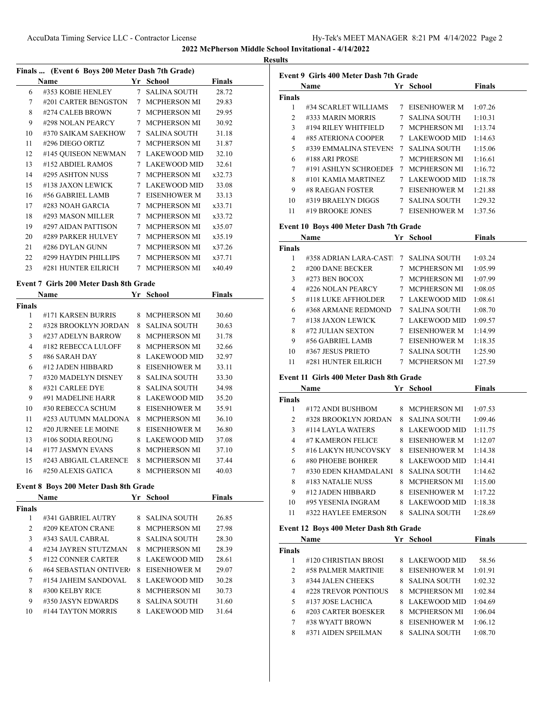**2022 McPherson Middle School Invitational - 4/14/2022 Results**

|    | Finals  (Event 6 Boys 200 Meter Dash 7th Grade) |             |                     |               |  |  |
|----|-------------------------------------------------|-------------|---------------------|---------------|--|--|
|    | <b>Name</b>                                     |             | Yr School           | <b>Finals</b> |  |  |
| 6  | #353 KOBIE HENLEY                               | $7^{\circ}$ | SALINA SOUTH        | 28.72         |  |  |
| 7  | #201 CARTER BENGSTON                            |             | 7 MCPHERSON MI      | 29.83         |  |  |
| 8  | #274 CALEB BROWN                                | $7^{\circ}$ | <b>MCPHERSON MI</b> | 29.95         |  |  |
| 9  | #298 NOLAN PEARCY                               |             | 7 MCPHERSON MI      | 30.92         |  |  |
| 10 | #370 SAIKAM SAEKHOW                             |             | 7 – SALINA SOUTH    | 31.18         |  |  |
| 11 | #296 DIEGO ORTIZ                                |             | 7 MCPHERSON MI      | 31.87         |  |  |
| 12 | #145 QUISEON NEWMAN                             |             | 7 LAKEWOOD MID      | 32.10         |  |  |
| 13 | #152 ABDIEL RAMOS                               |             | 7 LAKEWOOD MID      | 32.61         |  |  |
| 14 | #295 ASHTON NUSS                                | $7^{\circ}$ | <b>MCPHERSON MI</b> | x32.73        |  |  |
| 15 | #138 JAXON LEWICK                               |             | 7 LAKEWOOD MID      | 33.08         |  |  |
| 16 | #56 GABRIEL LAMB                                | $7^{\circ}$ | <b>EISENHOWER M</b> | 33.13         |  |  |
| 17 | #283 NOAH GARCIA                                |             | 7 MCPHERSON MI      | x33.71        |  |  |
| 18 | #293 MASON MILLER                               |             | 7 MCPHERSON MI      | x33.72        |  |  |
| 19 | #297 AIDAN PATTISON                             |             | 7 MCPHERSON MI      | x35.07        |  |  |
| 20 | #289 PARKER HULVEY                              | $7^{\circ}$ | <b>MCPHERSON MI</b> | x35.19        |  |  |
| 21 | #286 DYLAN GUNN                                 |             | 7 MCPHERSON MI      | x37.26        |  |  |
| 22 | #299 HAYDIN PHILLIPS                            |             | 7 MCPHERSON MI      | x37.71        |  |  |
| 23 | #281 HUNTER EILRICH                             | $7^{\circ}$ | <b>MCPHERSON MI</b> | x40.49        |  |  |
|    | Event 7 Girls 200 Meter Dash 8th Grade          |             |                     |               |  |  |

|                | Name                  | Yr. | School              | <b>Finals</b> |  |
|----------------|-----------------------|-----|---------------------|---------------|--|
| Finals         |                       |     |                     |               |  |
| 1              | #171 KARSEN BURRIS    | 8   | <b>MCPHERSON MI</b> | 30.60         |  |
| $\overline{2}$ | #328 BROOKLYN JORDAN  | 8   | <b>SALINA SOUTH</b> | 30.63         |  |
| 3              | #237 ADELYN BARROW    | 8   | <b>MCPHERSON MI</b> | 31.78         |  |
| 4              | #182 REBECCA LULOFF   | 8   | <b>MCPHERSON MI</b> | 32.66         |  |
| 5              | #86 SARAH DAY         | 8   | <b>LAKEWOOD MID</b> | 32.97         |  |
| 6              | #12 JADEN HIBBARD     | 8   | EISENHOWER M        | 33.11         |  |
| 7              | #320 MADELYN DISNEY   | 8   | <b>SALINA SOUTH</b> | 33.30         |  |
| 8              | #321 CARLEE DYE       | 8   | <b>SALINA SOUTH</b> | 34.98         |  |
| 9              | #91 MADELINE HARR     | 8   | <b>LAKEWOOD MID</b> | 35.20         |  |
| 10             | #30 REBECCA SCHUM     | 8   | EISENHOWER M        | 35.91         |  |
| 11             | #253 AUTUMN MALDONA   | 8   | <b>MCPHERSON MI</b> | 36.10         |  |
| 12             | #20 JURNEE LE MOINE   | 8   | <b>EISENHOWER M</b> | 36.80         |  |
| 13             | #106 SODIA REOUNG     | 8   | <b>LAKEWOOD MID</b> | 37.08         |  |
| 14             | #177 JASMYN EVANS     | 8   | <b>MCPHERSON MI</b> | 37.10         |  |
| 15             | #243 ABIGAIL CLARENCE | 8   | <b>MCPHERSON MI</b> | 37.44         |  |
| 16             | #250 ALEXIS GATICA    | 8   | <b>MCPHERSON MI</b> | 40.03         |  |

# **Event 8 Boys 200 Meter Dash 8th Grade**

|               | <b>Name</b>           | Yr | School              | <b>Finals</b> |
|---------------|-----------------------|----|---------------------|---------------|
| <b>Finals</b> |                       |    |                     |               |
| 1             | #341 GABRIEL AUTRY    | 8. | SALINA SOUTH        | 26.85         |
| 2             | #209 KEATON CRANE     | 8  | MCPHERSON MI        | 27.98         |
| $\mathbf{3}$  | #343 SAUL CABRAL      | 8  | SALINA SOUTH        | 28.30         |
| 4             | #234 JAYREN STUTZMAN  | 8  | MCPHERSON MI        | 28.39         |
| 5             | #122 CONNER CARTER    | 8. | LAKEWOOD MID        | 28.61         |
| 6             | #64 SEBASTIAN ONTIVER | 8  | EISENHOWER M        | 29.07         |
| 7             | #154 JAHEIM SANDOVAL  | 8. | LAKEWOOD MID        | 30.28         |
| 8             | #300 KELBY RICE       | 8  | MCPHERSON MI        | 30.73         |
| 9             | #350 JASYN EDWARDS    | 8  | <b>SALINA SOUTH</b> | 31.60         |
| 10            | #144 TAYTON MORRIS    |    | <b>LAKEWOOD MID</b> | 31.64         |

|               | Event 9 Girls 400 Meter Dash 7th Grade          |   |                                       |               |
|---------------|-------------------------------------------------|---|---------------------------------------|---------------|
|               | Name                                            |   | <b>School</b> School                  | <b>Finals</b> |
| Finals        |                                                 |   |                                       |               |
| 1             | #34 SCARLET WILLIAMS                            |   | 7 EISENHOWER M                        | 1:07.26       |
| 2             | #333 MARIN MORRIS                               |   | 7   SALINA SOUTH                      | 1:10.31       |
| 3             | #194 RILEY WHITFIELD                            |   | 7 MCPHERSON MI                        | 1:13.74       |
| 4             | #85 ATERIONA COOPER                             |   | 7 LAKEWOOD MID                        | 1:14.63       |
| 5             | #339 EMMALINA STEVENS                           |   | 7 SALINA SOUTH                        | 1:15.06       |
| 6             | #188 ARI PROSE                                  |   | 7 MCPHERSON MI                        | 1:16.61       |
| 7             | #191 ASHLYN SCHROEDEF                           |   | 7 MCPHERSON MI                        | 1:16.72       |
| 8             | #101 KAMIA MARTINEZ                             |   | 7 LAKEWOOD MID                        | 1:18.78       |
| 9             | #8 RAEGAN FOSTER                                |   | 7 EISENHOWER M                        | 1:21.88       |
| 10            | #319 BRAELYN DIGGS 7 SALINA SOUTH               |   |                                       | 1:29.32       |
| 11            | #19 BROOKE JONES                                |   | 7 EISENHOWER M                        | 1:37.56       |
|               | Event 10 Boys 400 Meter Dash 7th Grade          |   |                                       |               |
|               | Name                                            |   | Yr School                             | <b>Finals</b> |
| Finals        |                                                 |   |                                       |               |
| 1             | #358 ADRIAN LARA-CAST 7 SALINA SOUTH            |   |                                       | 1:03.24       |
| 2             | #200 DANE BECKER                                |   | 7 MCPHERSON MI                        | 1:05.99       |
| 3             | #273 BEN BOCOX                                  |   | 7 MCPHERSON MI                        | 1:07.99       |
| 4             | #226 NOLAN PEARCY                               |   | 7 MCPHERSON MI                        | 1:08.05       |
| 5             | #118 LUKE AFFHOLDER                             |   | 7 LAKEWOOD MID                        | 1:08.61       |
| 6             | #368 ARMANE REDMOND                             |   | 7 SALINA SOUTH                        | 1:08.70       |
| 7             | #138 JAXON LEWICK                               |   | 7 LAKEWOOD MID                        | 1:09.57       |
| 8             | #72 JULIAN SEXTON                               |   | 7 EISENHOWER M                        | 1:14.99       |
| 9             | #56 GABRIEL LAMB                                |   | 7 EISENHOWER M                        | 1:18.35       |
| 10            | #367 JESUS PRIETO                               |   | 7 SALINA SOUTH                        | 1:25.90       |
| 11            | #281 HUNTER EILRICH 7 MCPHERSON MI              |   |                                       | 1:27.59       |
|               |                                                 |   |                                       |               |
|               | Event 11 Girls 400 Meter Dash 8th Grade<br>Name |   | Yr School                             | <b>Finals</b> |
| Finals        |                                                 |   |                                       |               |
| 1             | #172 ANDI BUSHBOM                               |   | 8 MCPHERSON MI                        | 1:07.53       |
| 2             | #328 BROOKLYN JORDAN                            |   | 8 SALINA SOUTH                        | 1:09.46       |
| 3             | #114 LAYLA WATERS                               |   | 8 LAKEWOOD MID                        | 1:11.75       |
| 4             | #7 KAMERON FELICE                               |   | 8 EISENHOWER M                        | 1:12.07       |
| 5             | #16 LAKYN HUNCOVSKY                             |   | 8 EISENHOWER M                        | 1:14.38       |
| 6             | #80 PHOEBE BOHRER                               |   | 8 LAKEWOOD MID                        |               |
| 7             |                                                 |   |                                       | 1:14.41       |
|               | #330 EDEN KHAMDALANI<br>#183 NATALIE NUSS       | 8 | <b>SALINA SOUTH</b><br>8 MCPHERSON MI | 1:14.62       |
| 8             |                                                 |   | 8 EISENHOWER M                        | 1:15.00       |
| 9             | #12 JADEN HIBBARD                               |   | 8 LAKEWOOD MID                        | 1:17.22       |
| 10            | #95 YESENIA INGRAM                              |   |                                       | 1:18.38       |
| 11            | #322 HAYLEE EMERSON                             |   | 8 SALINA SOUTH                        | 1:28.69       |
|               | Event 12 Boys 400 Meter Dash 8th Grade          |   |                                       |               |
|               | Name                                            |   | Yr School                             | <b>Finals</b> |
| <b>Finals</b> |                                                 |   |                                       |               |
| 1             | #120 CHRISTIAN BROSI                            |   | 8 LAKEWOOD MID                        | 58.56         |
| 2             | #58 PALMER MARTINIE                             | 8 | <b>EISENHOWER M</b>                   | 1:01.91       |
| 3             | #344 JALEN CHEEKS                               | 8 | <b>SALINA SOUTH</b>                   | 1:02.32       |
| 4             | #228 TREVOR PONTIOUS                            |   | 8 MCPHERSON MI                        | 1:02.84       |
| 5             | #137 JOSE LACHICA                               |   | 8 LAKEWOOD MID                        | 1:04.69       |
| 6             | #203 CARTER BOESKER                             |   | 8 MCPHERSON MI                        | 1:06.04       |
| 7             | #38 WYATT BROWN                                 |   | 8 EISENHOWER M                        | 1:06.12       |
| 8             | #371 AIDEN SPEILMAN                             |   | 8 SALINA SOUTH                        | 1:08.70       |
|               |                                                 |   |                                       |               |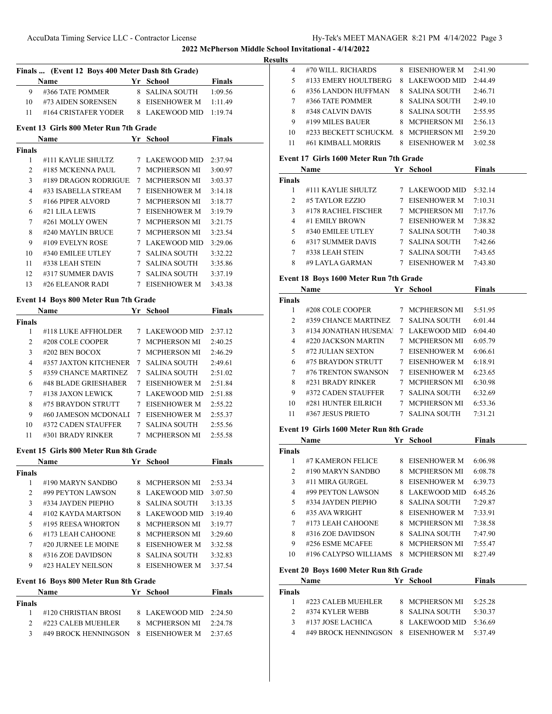|                 | Finals  (Event 12 Boys 400 Meter Dash 8th Grade)                                                                                                                                                                              |                        |                  |  |
|-----------------|-------------------------------------------------------------------------------------------------------------------------------------------------------------------------------------------------------------------------------|------------------------|------------------|--|
|                 | <b>Example 18 Yr School</b><br>Name                                                                                                                                                                                           |                        | Finals           |  |
| 9               | #366 TATE POMMER                                                                                                                                                                                                              | 8 SALINA SOUTH         | 1:09.56          |  |
|                 | 10 #73 AIDEN SORENSEN 8 EISENHOWER M                                                                                                                                                                                          |                        | 1:11.49          |  |
| 11 —            | #164 CRISTAFER YODER 8 LAKEWOOD MID                                                                                                                                                                                           |                        | 1:19.74          |  |
|                 | Event 13 Girls 800 Meter Run 7th Grade                                                                                                                                                                                        |                        |                  |  |
|                 | <b>School Finals</b><br>Name                                                                                                                                                                                                  |                        |                  |  |
| <b>Finals</b>   |                                                                                                                                                                                                                               |                        |                  |  |
| 1               | #111 KAYLIE SHULTZ 7 LAKEWOOD MID 2:37.94                                                                                                                                                                                     |                        |                  |  |
| $\overline{2}$  | #185 MCKENNA PAUL 7 MCPHERSON MI                                                                                                                                                                                              |                        | 3:00.97          |  |
| 3               | #189 DRAGON RODRIGUE                                                                                                                                                                                                          | 7 MCPHERSON MI         | 3:03.37          |  |
| 4               | #33 ISABELLA STREAM                                                                                                                                                                                                           | 7 EISENHOWER M         | 3:14.18          |  |
| 5               | #166 PIPER ALVORD                                                                                                                                                                                                             | 7 MCPHERSON MI         | 3:18.77          |  |
| 6               | #21 LILA LEWIS                                                                                                                                                                                                                | 7 EISENHOWER M         | 3:19.79          |  |
| 7               | #261 MOLLY OWEN                                                                                                                                                                                                               | 7 MCPHERSON MI         | 3:21.75          |  |
| 8               | #240 MAYLIN BRUCE 7 MCPHERSON MI                                                                                                                                                                                              |                        | 3:23.54          |  |
| 9               | #109 EVELYN ROSE                                                                                                                                                                                                              | 7 LAKEWOOD MID         | 3:29.06          |  |
| 10              | #340 EMILEE UTLEY 7 SALINA SOUTH                                                                                                                                                                                              |                        | 3:32.22          |  |
| 11 —            | #338 LEAH STEIN                                                                                                                                                                                                               | 7   SALINA SOUTH       | 3:35.86          |  |
| 12              | #317 SUMMER DAVIS 7 SALINA SOUTH                                                                                                                                                                                              |                        | 3:37.19          |  |
| 13              | #26 ELEANOR RADI 7 EISENHOWER M                                                                                                                                                                                               |                        | 3:43.38          |  |
|                 | Event 14 Boys 800 Meter Run 7th Grade                                                                                                                                                                                         |                        |                  |  |
|                 | Name and the same state of the state of the state of the state of the state of the state of the state of the state of the state of the state of the state of the state of the state of the state of the state of the state of | Yr School              | <b>Finals</b>    |  |
| <b>Finals</b>   |                                                                                                                                                                                                                               |                        |                  |  |
| 1               | #118 LUKE AFFHOLDER                                                                                                                                                                                                           | 7 LAKEWOOD MID 2:37.12 |                  |  |
| $\overline{2}$  | #208 COLE COOPER                                                                                                                                                                                                              | 7 MCPHERSON MI 2:40.25 |                  |  |
| 3               | #202 BEN BOCOX                                                                                                                                                                                                                | 7 MCPHERSON MI         | 2:46.29          |  |
| 4               | #357 JAXTON KITCHENER 7 SALINA SOUTH                                                                                                                                                                                          |                        | 2:49.61          |  |
| 5               | #359 CHANCE MARTINEZ                                                                                                                                                                                                          | 7 SALINA SOUTH         | 2:51.02          |  |
| 6               | #48 BLADE GRIESHABER                                                                                                                                                                                                          | 7 EISENHOWER M         | 2:51.84          |  |
| $7\phantom{.0}$ | #138 JAXON LEWICK                                                                                                                                                                                                             | 7 LAKEWOOD MID         | 2:51.88          |  |
| 8               | #75 BRAYDON STRUTT                                                                                                                                                                                                            | 7 EISENHOWER M         | 2:55.22          |  |
| 9               | #60 JAMESON MCDONALI 7 EISENHOWER M                                                                                                                                                                                           |                        | 2:55.37          |  |
| 10              | #372 CADEN STAUFFER 7 SALINA SOUTH 2:55.56                                                                                                                                                                                    |                        |                  |  |
| 11              | #301 BRADY RINKER                                                                                                                                                                                                             | 7 MCPHERSON MI         | 2:55.58          |  |
|                 | Event 15 Girls 800 Meter Run 8th Grade                                                                                                                                                                                        |                        |                  |  |
|                 | Name                                                                                                                                                                                                                          | Yr School              | <b>Example 1</b> |  |
| Finals          |                                                                                                                                                                                                                               |                        |                  |  |
| 1               | #190 MARYN SANDBO                                                                                                                                                                                                             | 8 MCPHERSON MI         | 2:53.34          |  |
| 2               | #99 PEYTON LAWSON                                                                                                                                                                                                             | 8 LAKEWOOD MID         | 3:07.50          |  |
| $\mathfrak{Z}$  | #334 JAYDEN PIEPHO                                                                                                                                                                                                            | 8 SALINA SOUTH         | 3:13.35          |  |
| $\overline{4}$  | #102 KAYDA MARTSON                                                                                                                                                                                                            | 8 LAKEWOOD MID         | 3:19.40          |  |
| 5               | #195 REESA WHORTON                                                                                                                                                                                                            | 8 MCPHERSON MI         | 3:19.77          |  |
| 6               | #173 LEAH CAHOONE                                                                                                                                                                                                             | 8 MCPHERSON MI         | 3:29.60          |  |
| $7^{\circ}$     | #20 JURNEE LE MOINE                                                                                                                                                                                                           | 8 EISENHOWER M         | 3:32.58          |  |
| 8               | #316 ZOE DAVIDSON                                                                                                                                                                                                             | 8 SALINA SOUTH         | 3:32.83          |  |
| 9               | #23 HALEY NEILSON                                                                                                                                                                                                             | 8 EISENHOWER M         | 3:37.54          |  |
|                 | Event 16 Boys 800 Meter Run 8th Grade                                                                                                                                                                                         |                        |                  |  |
|                 | Name                                                                                                                                                                                                                          | Yr School              | <b>Finals</b>    |  |
| <b>Finals</b>   |                                                                                                                                                                                                                               |                        |                  |  |
| 1               | #120 CHRISTIAN BROSI                                                                                                                                                                                                          | 8 LAKEWOOD MID 2:24.50 |                  |  |
| 2               | #223 CALEB MUEHLER                                                                                                                                                                                                            | 8 MCPHERSON MI         | 2:24.78          |  |
| $\mathfrak{Z}$  | #49 BROCK HENNINGSON                                                                                                                                                                                                          | 8 EISENHOWER M         | 2:37.65          |  |

| ΠЬ             |                                                    |    |                                  |               |
|----------------|----------------------------------------------------|----|----------------------------------|---------------|
| 4              | #70 WILL. RICHARDS                                 |    | 8 EISENHOWER M                   | 2:41.90       |
| 5              | #133 EMERY HOULTBERG 8 LAKEWOOD MID                |    |                                  | 2:44.49       |
| 6              | #356 LANDON HUFFMAN                                |    | 8 SALINA SOUTH                   | 2:46.71       |
| 7              | #366 TATE POMMER                                   |    | 8 SALINA SOUTH                   | 2:49.10       |
| 8              | #348 CALVIN DAVIS                                  |    | 8 SALINA SOUTH                   | 2:55.95       |
| 9              | #199 MILES BAUER                                   |    | 8 MCPHERSON MI                   | 2:56.13       |
| 10             | #233 BECKETT SCHUCKM 8 MCPHERSON MI                |    |                                  | 2:59.20       |
| 11             | #61 KIMBALL MORRIS                                 |    | 8 EISENHOWER M                   | 3:02.58       |
|                |                                                    |    |                                  |               |
|                | Event 17 Girls 1600 Meter Run 7th Grade            |    |                                  |               |
|                | Name                                               | Yr | School                           | <b>Finals</b> |
| Finals         |                                                    |    |                                  |               |
| 1              | #111 KAYLIE SHULTZ                                 |    | 7 LAKEWOOD MID                   | 5:32.14       |
| 2              | #5 TAYLOR EZZIO                                    |    | 7 EISENHOWER M                   | 7:10.31       |
| 3              | #178 RACHEL FISCHER 7 MCPHERSON MI                 |    |                                  | 7:17.76       |
| $\overline{4}$ | #1 EMILY BROWN<br>#340 EMILEE UTLEY 7 SALINA SOUTH |    | 7 EISENHOWER M                   | 7:38.82       |
| 5              |                                                    |    |                                  | 7:40.38       |
| 6              | #317 SUMMER DAVIS 7 SALINA SOUTH                   |    |                                  | 7:42.66       |
| 7              | #338 LEAH STEIN                                    |    | 7 SALINA SOUTH                   | 7:43.65       |
| 8              | #9 LAYLA GARMAN                                    |    | 7 EISENHOWER M                   | 7:43.80       |
|                | Event 18 Boys 1600 Meter Run 7th Grade             |    |                                  |               |
|                | Name                                               |    | Yr School                        | <b>Finals</b> |
| Finals         |                                                    |    |                                  |               |
|                | 1 #208 COLE COOPER 7 MCPHERSON MI                  |    |                                  | 5:51.95       |
| 2              | #359 CHANCE MARTINEZ 7 SALINA SOUTH                |    |                                  | 6:01.44       |
| 3              | #134 JONATHAN HUSEMA                               |    | 7 LAKEWOOD MID                   | 6:04.40       |
| $\overline{4}$ | #220 JACKSON MARTIN                                |    | 7 MCPHERSON MI                   | 6:05.79       |
| 5              | #72 JULIAN SEXTON                                  |    | 7 EISENHOWER M                   | 6:06.61       |
| 6              | #75 BRAYDON STRUTT                                 |    | 7 EISENHOWER M                   | 6:18.91       |
| 7              | #76 TRENTON SWANSON                                |    | 7 EISENHOWER M                   | 6:23.65       |
| 8              | #231 BRADY RINKER                                  |    | 7 MCPHERSON MI                   | 6:30.98       |
| 9              | #372 CADEN STAUFFER                                |    | 7 SALINA SOUTH                   | 6:32.69       |
| 10             | #281 HUNTER EILRICH                                |    | 7 MCPHERSON MI                   | 6:53.36       |
| 11             | #367 JESUS PRIETO                                  |    | 7 SALINA SOUTH                   | 7:31.21       |
|                |                                                    |    |                                  |               |
|                | Event 19 Girls 1600 Meter Run 8th Grade            |    |                                  |               |
|                | Name                                               |    | Yr School                        | <b>Finals</b> |
| Finals         |                                                    |    |                                  |               |
| 1              | #7 KAMERON FELICE                                  | 8  | EISENHOWER M                     | 6:06.98       |
| 2<br>3         | #190 MARYN SANDBO<br>#11 MIRA GURGEL               |    | 8 MCPHERSON MI<br>8 EISENHOWER M | 6:08.78       |
|                |                                                    |    |                                  | 6:39.73       |
| 4              | #99 PEYTON LAWSON<br>#334 JAYDEN PIEPHO            |    | 8 LAKEWOOD MID                   | 6:45.26       |
| 5              | #35 AVA WRIGHT                                     |    | 8 SALINA SOUTH                   | 7:29.87       |
| 6              | #173 LEAH CAHOONE                                  |    | 8 EISENHOWER M                   | 7:33.91       |
| 7              |                                                    |    | 8 MCPHERSON MI                   | 7:38.58       |
| 8              | #316 ZOE DAVIDSON                                  |    | 8 SALINA SOUTH                   | 7:47.90       |
| 9              | #256 ESME MCAFEE                                   |    | 8 MCPHERSON MI                   | 7:55.47       |
| 10             | #196 CALYPSO WILLIAMS                              |    | 8 MCPHERSON MI                   | 8:27.49       |
|                | Event 20 Boys 1600 Meter Run 8th Grade             |    |                                  |               |
|                | Name                                               |    | Yr School                        | <b>Finals</b> |
| Finals         |                                                    |    |                                  |               |
| 1              | #223 CALEB MUEHLER                                 |    | 8 MCPHERSON MI                   | 5:25.28       |
| 2              | #374 KYLER WEBB                                    |    | 8 SALINA SOUTH                   | 5:30.37       |
| 3              | #137 JOSE LACHICA                                  |    | 8 LAKEWOOD MID                   | 5:36.69       |
| 4              | #49 BROCK HENNINGSON                               |    | 8 EISENHOWER M                   | 5:37.49       |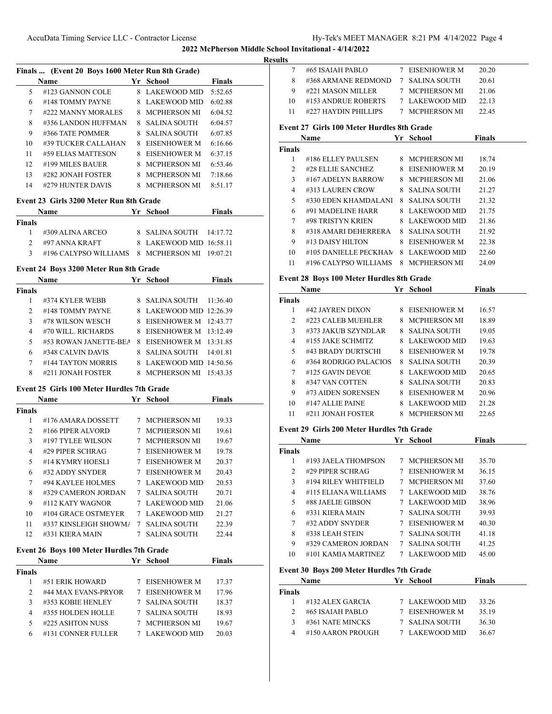### **Results**

|    | Finals  (Event 20 Boys 1600 Meter Run 8th Grade) |    |                     |               |  |  |
|----|--------------------------------------------------|----|---------------------|---------------|--|--|
|    | <b>Name</b>                                      | Yr | School              | <b>Finals</b> |  |  |
| 5  | #123 GANNON COLE                                 | 8  | LAKEWOOD MID        | 5:52.65       |  |  |
| 6  | #148 TOMMY PAYNE                                 | 8  | LAKEWOOD MID        | 6:02.88       |  |  |
| 7  | #222 MANNY MORALES                               |    | 8 MCPHERSON MI      | 6:04.52       |  |  |
| 8  | #356 LANDON HUFFMAN                              |    | 8 SALINA SOUTH      | 6:04.57       |  |  |
| 9  | #366 TATE POMMER                                 | 8  | SALINA SOUTH        | 6:07.85       |  |  |
| 10 | #39 TUCKER CALLAHAN                              | 8  | EISENHOWER M        | 6:16.66       |  |  |
| 11 | #59 ELIAS MATTESON                               | 8  | EISENHOWER M        | 6:37.15       |  |  |
| 12 | #199 MILES BAUER                                 | 8  | <b>MCPHERSON MI</b> | 6:53.46       |  |  |
| 13 | #282 JONAH FOSTER                                | 8  | MCPHERSON MI        | 7:18.66       |  |  |
| 14 | #279 HUNTER DAVIS                                | 8  | MCPHERSON MI        | 8:51.17       |  |  |

# **Event 23 Girls 3200 Meter Run 8th Grade**

|        | <b>Name</b>                                   | Yr School                 | <b>Finals</b> |  |
|--------|-----------------------------------------------|---------------------------|---------------|--|
| Finals |                                               |                           |               |  |
|        | #309 ALINA ARCEO                              | 8 SALINA SOUTH $14:17.72$ |               |  |
|        | #97 ANNA KRAFT                                | 8 LAKEWOOD MID 16:58.11   |               |  |
|        | #196 CALYPSO WILLIAMS 8 MCPHERSON MI 19:07.21 |                           |               |  |

# **Event 24 Boys 3200 Meter Run 8th Grade**

|               | <b>Name</b>           | Yr | School                  | Finals   |  |
|---------------|-----------------------|----|-------------------------|----------|--|
| <b>Finals</b> |                       |    |                         |          |  |
|               | #374 KYLER WEBB       |    | 8 – SALINA SOUTH        | 11:36.40 |  |
| $\mathcal{L}$ | #148 TOMMY PAYNE      |    | 8 LAKEWOOD MID 12:26.39 |          |  |
| 3             | #78 WILSON WESCH      |    | 8 EISENHOWER M 12:43.77 |          |  |
| 4             | #70 WILL, RICHARDS    |    | 8 EISENHOWER M 13:12.49 |          |  |
| 5             | #53 ROWAN JANETTE-BEA |    | 8 EISENHOWER M 13:31.85 |          |  |
| 6             | #348 CALVIN DAVIS     |    | 8 SALINA SOUTH          | 14:01.81 |  |
| 7             | #144 TAYTON MORRIS    |    | 8 LAKEWOOD MID 14:50.56 |          |  |
| 8             | #211 JONAH FOSTER     |    | MCPHERSON MI            | 15:43.35 |  |

### **Event 25 Girls 100 Meter Hurdles 7th Grade**

|        | <b>Name</b>           |   | Yr School           | <b>Finals</b> |  |
|--------|-----------------------|---|---------------------|---------------|--|
| Finals |                       |   |                     |               |  |
| 1      | #176 AMARA DOSSETT    | 7 | <b>MCPHERSON MI</b> | 19.33         |  |
| 2      | #166 PIPER ALVORD     |   | <b>MCPHERSON MI</b> | 19.61         |  |
| 3      | #197 TYLEE WILSON     | 7 | MCPHERSON MI        | 19.67         |  |
| 4      | #29 PIPER SCHRAG      |   | EISENHOWER M        | 19.78         |  |
| 5      | #14 KYMRY HOESLI      |   | EISENHOWER M        | 20.37         |  |
| 6      | #32 ADDY SNYDER       | 7 | <b>EISENHOWER M</b> | 20.43         |  |
| 7      | #94 KAYLEE HOLMES     |   | 7 LAKEWOOD MID      | 20.53         |  |
| 8      | #329 CAMERON JORDAN   | 7 | SALINA SOUTH        | 20.71         |  |
| 9      | #112 KATY WAGNOR      |   | <b>LAKEWOOD MID</b> | 21.06         |  |
| 10     | #104 GRACE OSTMEYER   |   | 7 LAKEWOOD MID      | 21.27         |  |
| 11     | #337 KINSLEIGH SHOWMA | 7 | <b>SALINA SOUTH</b> | 22.39         |  |
| 12     | #331 KIERA MAIN       | 7 | SALINA SOUTH        | 22.44         |  |

# **Event 26 Boys 100 Meter Hurdles 7th Grade**

| <b>Name</b>         |   | School              | Finals |  |
|---------------------|---|---------------------|--------|--|
|                     |   |                     |        |  |
| #51 ERIK HOWARD     |   | EISENHOWER M        | 17.37  |  |
| #44 MAX EVANS-PRYOR | 7 | EISENHOWER M        | 17.96  |  |
| #353 KOBIE HENLEY   |   | SALINA SOUTH        | 18.37  |  |
| #355 HOLDEN HOLLE   |   | SALINA SOUTH        | 18.93  |  |
| #225 ASHTON NUSS    |   | <b>MCPHERSON MI</b> | 19.67  |  |
| #131 CONNER FULLER  |   | LAKEWOOD MID        | 20.03  |  |
|                     |   |                     | Yr.    |  |

| uns            |                                                                              |   |                     |               |
|----------------|------------------------------------------------------------------------------|---|---------------------|---------------|
| 7              | #65 ISAIAH PABLO                                                             |   | 7 EISENHOWER M      | 20.20         |
| 8              | #368 ARMANE REDMOND                                                          |   | 7 SALINA SOUTH      | 20.61         |
| 9              | #221 MASON MILLER                                                            |   | 7 MCPHERSON MI      | 21.06         |
| 10             | #153 ANDRUE ROBERTS                                                          |   | 7 LAKEWOOD MID      | 22.13         |
| 11             | #227 HAYDIN PHILLIPS                                                         |   | 7 MCPHERSON MI      | 22.45         |
|                |                                                                              |   |                     |               |
|                | Event 27 Girls 100 Meter Hurdles 8th Grade                                   |   |                     |               |
|                | Name<br><u> 1990 - John Barnett, mars et al. 1990 - San A</u>                |   | Yr School           | <b>Finals</b> |
| Finals         |                                                                              |   |                     |               |
| 1              | #186 ELLEY PAULSEN                                                           |   | 8 MCPHERSON MI      | 18.74         |
| $\overline{2}$ | #28 ELLIE SANCHEZ                                                            |   | 8 EISENHOWER M      | 20.19         |
| 3              | #167 ADELYN BARROW                                                           |   | 8 MCPHERSON MI      | 21.06         |
| 4              | #313 LAUREN CROW                                                             |   | 8 SALINA SOUTH      | 21.27         |
| 5              | #330 EDEN KHAMDALANI                                                         |   | 8 SALINA SOUTH      | 21.32         |
| 6              | #91 MADELINE HARR                                                            |   | 8 LAKEWOOD MID      | 21.75         |
| 7              | #98 TRISTYN KRIEN                                                            |   | 8 LAKEWOOD MID      | 21.86         |
| 8              | #318 AMARI DEHERRERA<br>#13 DAISY HILTON                                     |   | 8 SALINA SOUTH      | 21.92         |
| 9              |                                                                              |   | 8 EISENHOWER M      | 22.38         |
| 10<br>11       | #105 DANIELLE PECKHAN 8 LAKEWOOD MID<br>#196 CALYPSO WILLIAMS 8 MCPHERSON MI |   |                     | 22.60         |
|                |                                                                              |   |                     | 24.09         |
|                | Event 28 Boys 100 Meter Hurdles 8th Grade                                    |   |                     |               |
|                | Name                                                                         |   | Yr School           | <b>Finals</b> |
| <b>Finals</b>  |                                                                              |   |                     |               |
| 1              | #42 JAYREN DIXON                                                             |   | 8 EISENHOWER M      | 16.57         |
| 2              | #223 CALEB MUEHLER                                                           |   | 8 MCPHERSON MI      | 18.89         |
| 3              | #373 JAKUB SZYNDLAR                                                          |   | 8 SALINA SOUTH      | 19.05         |
| 4              | #155 JAKE SCHMITZ                                                            |   | 8 LAKEWOOD MID      | 19.63         |
| 5              | #43 BRADY DURTSCHI                                                           |   | 8 EISENHOWER M      | 19.78         |
| 6              | #364 RODRIGO PALACIOS                                                        |   | 8 SALINA SOUTH      | 20.39         |
| 7              | #125 GAVIN DEVOE                                                             |   | 8 LAKEWOOD MID      | 20.65         |
| 8              | #347 VAN COTTEN                                                              |   | 8 SALINA SOUTH      | 20.83         |
| 9              | #73 AIDEN SORENSEN                                                           |   | 8 EISENHOWER M      | 20.96         |
| 10             | #147 ALLIE PAINE                                                             |   | 8 LAKEWOOD MID      | 21.28         |
| 11             | #211 JONAH FOSTER                                                            |   | 8 MCPHERSON MI      | 22.65         |
|                | Event 29 Girls 200 Meter Hurdles 7th Grade                                   |   |                     |               |
|                | Name                                                                         |   | Yr School           | <b>Finals</b> |
| <b>Finals</b>  |                                                                              |   |                     |               |
| 1              | #193 JAELA THOMPSON                                                          | 7 | <b>MCPHERSON MI</b> | 35.70         |
| 2              | #29 PIPER SCHRAG                                                             |   | 7 EISENHOWER M      | 36.15         |
| 3              | #194 RILEY WHITFIELD                                                         |   | 7 MCPHERSON MI      | 37.60         |
| 4              | #115 ELIANA WILLIAMS                                                         |   | 7 LAKEWOOD MID      | 38.76         |
| 5              | #88 JAELIE GIBSON                                                            |   | 7 LAKEWOOD MID      | 38.96         |
| 6              | #331 KIERA MAIN                                                              |   | 7 SALINA SOUTH      | 39.93         |
| 7              | #32 ADDY SNYDER                                                              |   | 7 EISENHOWER M      | 40.30         |
| 8              | #338 LEAH STEIN                                                              |   | 7 SALINA SOUTH      | 41.18         |
| 9              | #329 CAMERON JORDAN                                                          |   | 7 SALINA SOUTH      | 41.25         |
| 10             | #101 KAMIA MARTINEZ                                                          |   | 7 LAKEWOOD MID      | 45.00         |
|                |                                                                              |   |                     |               |
|                | Event 30 Boys 200 Meter Hurdles 7th Grade                                    |   |                     |               |
|                | Name                                                                         |   | Yr School           | <b>Finals</b> |
| Finals         |                                                                              |   |                     |               |
| 1              | #132 ALEX GARCIA                                                             |   | 7 LAKEWOOD MID      | 33.26         |
| $\overline{2}$ | #65 ISAIAH PABLO                                                             |   | 7 EISENHOWER M      | 35.19         |
| 3              | #361 NATE MINCKS                                                             |   | 7 SALINA SOUTH      | 36.30         |
| 4              | #150 AARON PROUGH                                                            |   | 7 LAKEWOOD MID      | 36.67         |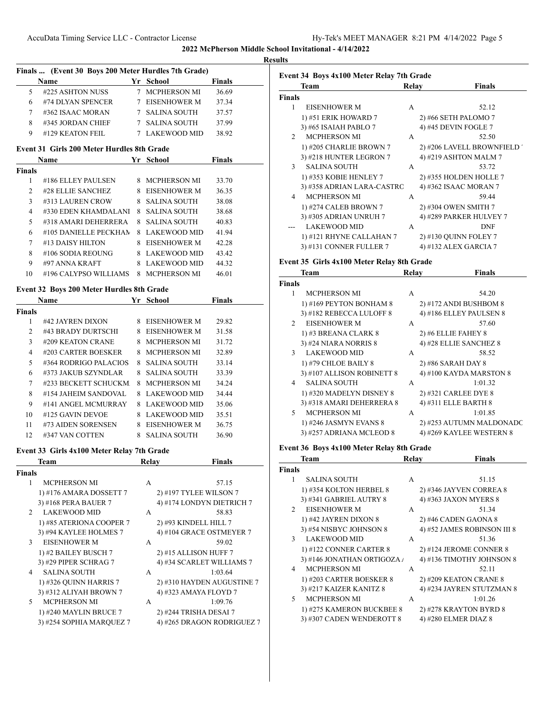|               |                                                     |   |                |               | <b>Results</b> |
|---------------|-----------------------------------------------------|---|----------------|---------------|----------------|
|               | Finals  (Event 30 Boys 200 Meter Hurdles 7th Grade) |   |                |               | Ev             |
|               | <b>Name</b>                                         |   | Yr School      | <b>Finals</b> |                |
| 5             | #225 ASHTON NUSS                                    |   | 7 MCPHERSON MI | 36.69         |                |
| 6             | #74 DLYAN SPENCER                                   |   | 7 EISENHOWER M | 37.34         | Fin            |
| 7             | $\#362$ ISAAC MORAN                                 |   | 7 SALINA SOUTH | 37.57         |                |
| 8             | #345 JORDAN CHIEF                                   |   | 7 SALINA SOUTH | 37.99         |                |
| 9             | #129 KEATON FEIL                                    |   | 7 LAKEWOOD MID | 38.92         |                |
|               | Event 31 Girls 200 Meter Hurdles 8th Grade          |   |                |               |                |
|               | <b>Name</b>                                         |   | Yr School      | <b>Finals</b> |                |
| <b>Finals</b> |                                                     |   |                |               |                |
|               | #186 ELLEY PAULSEN                                  | 8 | MCPHERSON MI   | 33.70         |                |

| ı  | #100 ELLET FAULSEN    | A IVIU FIID IN ƏUDIYINI | . <b>.</b> |
|----|-----------------------|-------------------------|------------|
| 2  | #28 ELLIE SANCHEZ     | 8 EISENHOWER M          | 36.35      |
| 3  | #313 LAUREN CROW      | 8 SALINA SOUTH          | 38.08      |
| 4  | #330 EDEN KHAMDALANI  | 8 SALINA SOUTH          | 38.68      |
| 5  | #318 AMARI DEHERRERA  | 8 SALINA SOUTH          | 40.83      |
| 6  | #105 DANIELLE PECKHAN | 8 LAKEWOOD MID          | 41.94      |
| 7  | #13 DAISY HILTON      | 8 EISENHOWER M          | 42.28      |
| 8  | #106 SODIA REOUNG     | 8 LAKEWOOD MID          | 43.42      |
| 9  | #97 ANNA KRAFT        | 8 LAKEWOOD MID          | 44.32      |
| 10 | #196 CALYPSO WILLIAMS | 8 MCPHERSON MI          | 46.01      |

# **Event 32 Boys 200 Meter Hurdles 8th Grade**

|        | <b>Name</b>           | Yr | School              | <b>Finals</b> |  |
|--------|-----------------------|----|---------------------|---------------|--|
| Finals |                       |    |                     |               |  |
| 1      | #42 JAYREN DIXON      | 8  | EISENHOWER M        | 29.82         |  |
| 2      | #43 BRADY DURTSCHI    | 8  | EISENHOWER M        | 31.58         |  |
| 3      | #209 KEATON CRANE     | 8  | <b>MCPHERSON MI</b> | 31.72         |  |
| 4      | #203 CARTER BOESKER   | 8  | <b>MCPHERSON MI</b> | 32.89         |  |
| 5      | #364 RODRIGO PALACIOS | 8  | <b>SALINA SOUTH</b> | 33.14         |  |
| 6      | #373 JAKUB SZYNDLAR   | 8  | SALINA SOUTH        | 33.39         |  |
| 7      | #233 BECKETT SCHUCKM  | 8  | <b>MCPHERSON MI</b> | 34.24         |  |
| 8      | #154 JAHEIM SANDOVAL  | 8  | LAKEWOOD MID        | 34.44         |  |
| 9      | #141 ANGEL MCMURRAY   | 8  | LAKEWOOD MID        | 35.06         |  |
| 10     | #125 GAVIN DEVOE      | 8  | <b>LAKEWOOD MID</b> | 35.51         |  |
| 11     | #73 AIDEN SORENSEN    | 8  | EISENHOWER M        | 36.75         |  |
| 12     | #347 VAN COTTEN       | 8  | SALINA SOUTH        | 36.90         |  |

# **Event 33 Girls 4x100 Meter Relay 7th Grade**

|                | <b>Team</b>              | Relay | <b>Finals</b>              |
|----------------|--------------------------|-------|----------------------------|
| <b>Finals</b>  |                          |       |                            |
| 1              | <b>MCPHERSON MI</b>      | A     | 57.15                      |
|                | 1) #176 AMARA DOSSETT 7  |       | 2) #197 TYLEE WILSON 7     |
|                | 3) #168 PERA BAUER 7     |       | 4) #174 LONDYN DIETRICH 7  |
| $\mathfrak{D}$ | <b>LAKEWOOD MID</b>      | A     | 58.83                      |
|                | 1) #85 ATERIONA COOPER 7 |       | 2) #93 KINDELL HILL 7      |
|                | 3) #94 KAYLEE HOLMES 7   |       | 4) #104 GRACE OSTMEYER 7   |
| 3              | <b>EISENHOWER M</b>      | A     | 59.02                      |
|                | 1) #2 BAILEY BUSCH 7     |       | 2) #15 ALLISON HUFF 7      |
|                | 3) #29 PIPER SCHRAG 7    |       | 4) #34 SCARLET WILLIAMS 7  |
| 4              | <b>SALINA SOUTH</b>      | A     | 1:03.64                    |
|                | 1) #326 QUINN HARRIS 7   |       | 2) #310 HAYDEN AUGUSTINE 7 |
|                | 3) #312 ALIYAH BROWN 7   |       | 4) #323 AMAYA FLOYD 7      |
| 5              | <b>MCPHERSON MI</b>      | A     | 1:09.76                    |
|                | 1) #240 MAYLIN BRUCE 7   |       | 2) #244 TRISHA DESAI 7     |
|                | 3) #254 SOPHIA MARQUEZ 7 |       | 4) #265 DRAGON RODRIGUEZ 7 |
|                |                          |       |                            |

|               | Team                       | Relay | Finals                      |
|---------------|----------------------------|-------|-----------------------------|
| <b>Finals</b> |                            |       |                             |
| 1             | <b>EISENHOWER M</b>        | A     | 52.12                       |
|               | 1) #51 ERIK HOWARD 7       |       | 2) #66 SETH PALOMO 7        |
|               | 3) #65 ISAIAH PABLO 7      |       | 4) #45 DEVIN FOGLE 7        |
| $\mathcal{P}$ | <b>MCPHERSON MI</b>        | A     | 52.50                       |
|               | 1) #205 CHARLIE BROWN 7    |       | 2) #206 LAVELL BROWNFIELD ' |
|               | 3) #218 HUNTER LEGRON 7    |       | 4) #219 ASHTON MALM 7       |
| $\mathcal{E}$ | <b>SALINA SOUTH</b>        | A     | 53.72                       |
|               | 1) #353 KOBIE HENLEY 7     |       | 2) #355 HOLDEN HOLLE 7      |
|               | 3) #358 ADRIAN LARA-CASTRO |       | 4) #362 ISAAC MORAN 7       |
| 4             | <b>MCPHERSON MI</b>        | A     | 59.44                       |
|               | 1) #274 CALEB BROWN 7      |       | 2) #304 OWEN SMITH 7        |
|               | 3) #305 ADRIAN UNRUH 7     |       | 4) #289 PARKER HULVEY 7     |
|               | <b>LAKEWOOD MID</b>        | A     | <b>DNF</b>                  |
|               | 1) #121 RHYNE CALLAHAN 7   |       | 2) #130 OUINN FOLEY 7       |
|               | 3) #131 CONNER FULLER 7    |       | 4) #132 ALEX GARCIA 7       |
|               |                            |       |                             |

#### **Event 35 Girls 4x100 Meter Relay 8th Grade**

|                | <b>Team</b>                | Relav | <b>Finals</b>            |
|----------------|----------------------------|-------|--------------------------|
| <b>Finals</b>  |                            |       |                          |
| 1              | <b>MCPHERSON MI</b>        | A     | 54.20                    |
|                | 1) #169 PEYTON BONHAM 8    |       | 2) #172 ANDI BUSHBOM 8   |
|                | 3) #182 REBECCA LULOFF 8   |       | 4) #186 ELLEY PAULSEN 8  |
| $\mathfrak{D}$ | <b>EISENHOWER M</b>        | A     | 57.60                    |
|                | 1) #3 BREANA CLARK 8       |       | $2)$ #6 ELLIE FAHEY 8    |
|                | 3) #24 NIARA NORRIS 8      |       | 4) #28 ELLIE SANCHEZ 8   |
| 3              | LAKEWOOD MID               | A     | 58.52                    |
|                | 1) #79 CHLOE BAILY 8       |       | 2) #86 SARAH DAY 8       |
|                | 3) #107 ALLISON ROBINETT 8 |       | 4) #100 KAYDA MARSTON 8  |
| 4              | <b>SALINA SOUTH</b>        | A     | 1:01.32                  |
|                | 1) #320 MADELYN DISNEY 8   |       | 2) #321 CARLEE DYE 8     |
|                | 3) #318 AMARI DEHERRERA 8  |       | 4) #311 ELLE BARTH 8     |
| 5              | <b>MCPHERSON MI</b>        | A     | 1:01.85                  |
|                | 1) #246 JASMYN EVANS 8     |       | 2) #253 AUTUMN MALDONADC |
|                | 3) #257 ADRIANA MCLEOD 8   |       | 4) #269 KAYLEE WESTERN 8 |
|                |                            |       |                          |

# **Event 36 Boys 4x100 Meter Relay 8th Grade**

|                | <b>Team</b>                 | Relav | Finals                      |
|----------------|-----------------------------|-------|-----------------------------|
| Finals         |                             |       |                             |
| 1              | <b>SALINA SOUTH</b>         | A     | 51.15                       |
|                | 1) #354 KOLTON HERBEL 8     |       | 2) #346 JAYVEN CORREA 8     |
|                | 3) #341 GABRIEL AUTRY 8     |       | 4) #363 JAXON MYERS 8       |
| $\mathfrak{D}$ | <b>EISENHOWER M</b>         | A     | 51.34                       |
|                | 1) #42 JAYREN DIXON 8       |       | 2) #46 CADEN GAONA 8        |
|                | 3) #54 NISBYC JOHNSON 8     |       | 4) #52 JAMES ROBINSON III 8 |
| 3              | <b>LAKEWOOD MID</b>         | A     | 51.36                       |
|                | 1) #122 CONNER CARTER $8$   |       | 2) #124 JEROME CONNER 8     |
|                | 3) #146 JONATHAN ORTIGOZA / |       | 4) #136 TIMOTHY JOHNSON 8   |
| 4              | <b>MCPHERSON MI</b>         | A     | 52.11                       |
|                | 1) #203 CARTER BOESKER 8    |       | 2) #209 KEATON CRANE 8      |
|                | 3) #217 KAIZER KANITZ 8     |       | 4) #234 JAYREN STUTZMAN 8   |
| 5              | <b>MCPHERSON MI</b>         | A     | 1:01.26                     |
|                | 1) #275 KAMERON BUCKBEE 8   |       | 2) #278 KRAYTON BYRD 8      |
|                | 3) #307 CADEN WENDEROTT 8   |       | 4) #280 ELMER DIAZ 8        |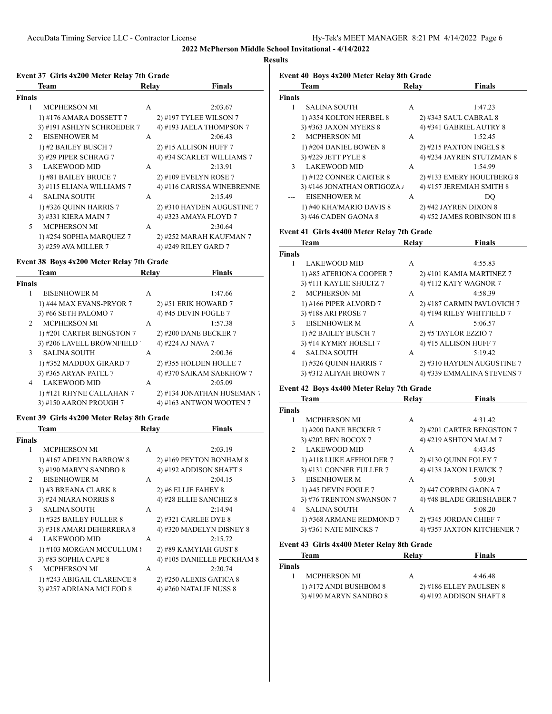### **Results**

# **Event 37 Girls 4x200 Meter Relay 7th Grade**

|                | Team                       | Relay | <b>Finals</b>              |
|----------------|----------------------------|-------|----------------------------|
| Finals         |                            |       |                            |
| 1              | <b>MCPHERSON MI</b>        | A     | 2:03.67                    |
|                | 1) #176 AMARA DOSSETT 7    |       | 2) #197 TYLEE WILSON 7     |
|                | 3) #191 ASHLYN SCHROEDER 7 |       | 4) #193 JAELA THOMPSON 7   |
| $\mathfrak{D}$ | <b>EISENHOWER M</b>        | A     | 2:06.43                    |
|                | 1) #2 BAILEY BUSCH 7       |       | 2) #15 ALLISON HUFF 7      |
|                | 3) #29 PIPER SCHRAG 7      |       | 4) #34 SCARLET WILLIAMS 7  |
| $\mathcal{L}$  | <b>LAKEWOOD MID</b>        | A     | 2:13.91                    |
|                | 1) #81 BAILEY BRUCE 7      |       | 2) #109 EVELYN ROSE 7      |
|                | 3) #115 ELIANA WILLIAMS 7  |       | 4) #116 CARISSA WINEBRENNE |
| 4              | <b>SALINA SOUTH</b>        | A     | 2:15.49                    |
|                | 1) #326 OUINN HARRIS 7     |       | 2) #310 HAYDEN AUGUSTINE 7 |
|                | 3) #331 KIERA MAIN 7       |       | 4) #323 AMAYA FLOYD 7      |
| 5              | <b>MCPHERSON MI</b>        | A     | 2:30.64                    |
|                | 1) #254 SOPHIA MARQUEZ 7   |       | 2) #252 MARAH KAUFMAN 7    |
|                | 3) #259 AVA MILLER 7       |       | 4) #249 RILEY GARD 7       |

### **Event 38 Boys 4x200 Meter Relay 7th Grade**

| Team                      | Relav | <b>Finals</b>               |
|---------------------------|-------|-----------------------------|
| <b>Finals</b>             |       |                             |
| EISENHOWER M              | A     | 1:47.66                     |
| 1) #44 MAX EVANS-PRYOR 7  |       | 2) #51 ERIK HOWARD 7        |
| 3) #66 SETH PALOMO 7      |       | 4) #45 DEVIN FOGLE 7        |
| <b>MCPHERSON MI</b>       | A     | 1:57.38                     |
| 1) #201 CARTER BENGSTON 7 |       | 2) #200 DANE BECKER 7       |
|                           |       | 4) #224 AJ NAVA 7           |
| <b>SALINA SOUTH</b>       | A     | 2:00.36                     |
| 1) #352 MADDOX GIRARD 7   |       | 2) #355 HOLDEN HOLLE 7      |
| 3) #365 ARYAN PATEL 7     |       | 4) #370 SAIKAM SAEKHOW 7    |
| <b>LAKEWOOD MID</b>       | A     | 2:05.09                     |
| 1) #121 RHYNE CALLAHAN 7  |       | 2) #134 JONATHAN HUSEMAN    |
| 3) #150 AARON PROUGH 7    |       | 4) #163 ANTWON WOOTEN 7     |
|                           |       | 3) #206 LAVELL BROWNFIELD ' |

### **Event 39 Girls 4x200 Meter Relay 8th Grade**

|                | Team                       | <b>Relay</b> | <b>Finals</b>              |
|----------------|----------------------------|--------------|----------------------------|
| <b>Finals</b>  |                            |              |                            |
| 1              | <b>MCPHERSON MI</b>        | A            | 2:03.19                    |
|                | 1) #167 ADELYN BARROW 8    |              | 2) #169 PEYTON BONHAM 8    |
|                | 3) #190 MARYN SANDBO 8     |              | 4) #192 ADDISON SHAFT 8    |
| $\mathfrak{D}$ | <b>EISENHOWER M</b>        | A            | 2:04.15                    |
|                | 1) #3 BREANA CLARK 8       |              | 2) #6 ELLIE FAHEY 8        |
|                | 3) #24 NIARA NORRIS 8      |              | 4) #28 ELLIE SANCHEZ 8     |
| $\mathcal{F}$  | <b>SALINA SOUTH</b>        | A            | 2:14.94                    |
|                | 1) #325 BAILEY FULLER 8    |              | 2) #321 CARLEE DYE 8       |
|                | 3) #318 AMARI DEHERRERA 8  |              | 4) #320 MADELYN DISNEY 8   |
| 4              | <b>LAKEWOOD MID</b>        | A            | 2:15.72                    |
|                | 1) #103 MORGAN MCCULLUM {  |              | 2) #89 KAMYIAH GUST 8      |
|                | 3) #83 SOPHIA CAPE 8       |              | 4) #105 DANIELLE PECKHAM 8 |
| 5.             | <b>MCPHERSON MI</b>        | A            | 2:20.74                    |
|                | 1) #243 ABIGAIL CLARENCE 8 |              | 2) #250 ALEXIS GATICA 8    |
|                | 3) #257 ADRIANA MCLEOD 8   |              | 4) #260 NATALIE NUSS 8     |

| Event 40 Boys 4x200 Meter Relay 8th Grade |                             |       |                             |  |
|-------------------------------------------|-----------------------------|-------|-----------------------------|--|
|                                           | <b>Team</b>                 | Relay | <b>Finals</b>               |  |
| <b>Finals</b>                             |                             |       |                             |  |
| 1                                         | <b>SALINA SOUTH</b>         | A     | 1:47.23                     |  |
|                                           | 1) #354 KOLTON HERBEL 8     |       | 2) #343 SAUL CABRAL 8       |  |
|                                           | 3) #363 JAXON MYERS 8       |       | 4) #341 GABRIEL AUTRY 8     |  |
| $\mathfrak{D}$                            | <b>MCPHERSON MI</b>         | A     | 1:52.45                     |  |
|                                           | 1) #204 DANIEL BOWEN 8      |       | 2) #215 PAXTON INGELS 8     |  |
|                                           | 3) #229 JETT PYLE 8         |       | 4) #234 JAYREN STUTZMAN 8   |  |
| $\mathcal{F}$                             | <b>LAKEWOOD MID</b>         | A     | 1:54.99                     |  |
|                                           | 1) #122 CONNER CARTER $8$   |       | 2) #133 EMERY HOULTBERG 8   |  |
|                                           | 3) #146 JONATHAN ORTIGOZA / |       | 4) #157 JEREMIAH SMITH 8    |  |
|                                           | <b>EISENHOWER M</b>         | A     | DO                          |  |
|                                           | 1) #40 KHA'MARIO DAVIS 8    |       | 2) #42 JAYREN DIXON 8       |  |
|                                           | 3) #46 CADEN GAONA 8        |       | 4) #52 JAMES ROBINSON III 8 |  |

# **Event 41 Girls 4x400 Meter Relay 7th Grade**

|                | Team                     | Relay | <b>Finals</b>              |
|----------------|--------------------------|-------|----------------------------|
| <b>Finals</b>  |                          |       |                            |
|                | <b>LAKEWOOD MID</b>      | A     | 4:55.83                    |
|                | 1) #85 ATERIONA COOPER 7 |       | 2) #101 KAMIA MARTINEZ 7   |
|                | 3) #111 KAYLIE SHULTZ 7  |       | 4) #112 KATY WAGNOR 7      |
| $\mathfrak{D}$ | <b>MCPHERSON MI</b>      | A     | 4:58.39                    |
|                | 1) #166 PIPER ALVORD 7   |       | 2) #187 CARMIN PAVLOVICH 7 |
|                | 3) #188 ARI PROSE 7      |       | 4) #194 RILEY WHITFIELD 7  |
| 3              | <b>EISENHOWER M</b>      | A     | 5:06.57                    |
|                | 1) #2 BAILEY BUSCH 7     |       | 2) #5 TAYLOR EZZIO 7       |
|                | 3) #14 KYMRY HOESLI 7    |       | 4) #15 ALLISON HUFF 7      |
| 4              | <b>SALINA SOUTH</b>      | A     | 5:19.42                    |
|                | 1) #326 QUINN HARRIS 7   |       | 2) #310 HAYDEN AUGUSTINE 7 |
|                | 3) #312 ALIYAH BROWN 7   |       | 4) #339 EMMALINA STEVENS 7 |

# **Event 42 Boys 4x400 Meter Relay 7th Grade**

| <b>Team</b>                           | Relay | <b>Finals</b>              |
|---------------------------------------|-------|----------------------------|
| <b>Finals</b>                         |       |                            |
| <b>MCPHERSON MI</b>                   | A     | 4:31.42                    |
| 1) #200 DANE BECKER 7                 |       | 2) #201 CARTER BENGSTON 7  |
| 3) #202 BEN BOCOX 7                   |       | 4) #219 ASHTON MALM 7      |
| <b>LAKEWOOD MID</b><br>$\mathfrak{D}$ | A     | 4:43.45                    |
| 1) #118 LUKE AFFHOLDER 7              |       | 2) #130 OUINN FOLEY 7      |
| 3) #131 CONNER FULLER 7               |       | 4) #138 JAXON LEWICK 7     |
| <b>EISENHOWER M</b><br>$\mathcal{F}$  | A     | 5:00.91                    |
| 1) #45 DEVIN FOGLE 7                  |       | 2) #47 CORBIN GAONA 7      |
| 3) #76 TRENTON SWANSON 7              |       | 4) #48 BLADE GRIESHABER 7  |
| <b>SALINA SOUTH</b>                   | A     | 5:08.20                    |
| 1) #368 ARMANE REDMOND 7              |       | 2) #345 JORDAN CHIEF 7     |
| 3) #361 NATE MINCKS 7                 |       | 4) #357 JAXTON KITCHENER 7 |
|                                       |       |                            |

### **Event 43 Girls 4x400 Meter Relay 8th Grade**

|               | Team                   | Relay | <b>Finals</b>             |
|---------------|------------------------|-------|---------------------------|
| <b>Finals</b> |                        |       |                           |
|               | <b>MCPHERSON MI</b>    | А     | 4:46.48                   |
|               | 1) #172 ANDI BUSHBOM 8 |       | $2)$ #186 ELLEY PAULSEN 8 |
|               | 3) #190 MARYN SANDBO 8 |       | 4) #192 ADDISON SHAFT $8$ |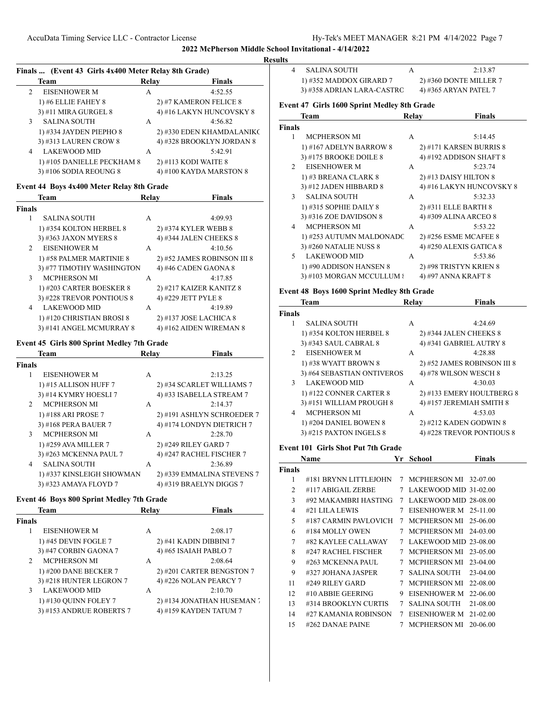# **Finals ... (Event 43 Girls 4x400 Meter Relay 8th Grade) Team Relay Finals** 2 EISENHOWER M A 4:52.55 1) #6 ELLIE FAHEY 8 2) #7 KAMERON FELICE 8 3) #11 MIRA GURGEL 8 4) #16 LAKYN HUNCOVSKY 8 3 SALINA SOUTH A 4:56.82 1) #334 JAYDEN PIEPHO 8 2) #330 EDEN KHAMDALANIKO 3) #313 LAUREN CROW 8 4) #328 BROOKLYN JORDAN 8 4 LAKEWOOD MID A 5:42.91 1) #105 DANIELLE PECKHAM 8 2) #113 KODI WAITE 8 3) #106 SODIA REOUNG 8 4) #100 KAYDA MARSTON 8

### **Event 44 Boys 4x400 Meter Relay 8th Grade**

|                | Team                      | Relay | <b>Finals</b>               |
|----------------|---------------------------|-------|-----------------------------|
| Finals         |                           |       |                             |
| 1              | <b>SALINA SOUTH</b>       | A     | 4:09.93                     |
|                | 1) #354 KOLTON HERBEL 8   |       | 2) #374 KYLER WEBB 8        |
|                | 3) #363 JAXON MYERS 8     |       | 4) #344 JALEN CHEEKS 8      |
| $\mathfrak{D}$ | <b>EISENHOWER M</b>       | A     | 4:10.56                     |
|                | 1) #58 PALMER MARTINIE 8  |       | 2) #52 JAMES ROBINSON III 8 |
|                | 3) #77 TIMOTHY WASHINGTON |       | 4) #46 CADEN GAONA 8        |
| 3              | <b>MCPHERSON MI</b>       | A     | 4:17.85                     |
|                | 1) #203 CARTER BOESKER 8  |       | 2) #217 KAIZER KANITZ 8     |
|                | 3) #228 TREVOR PONTIOUS 8 |       | 4) #229 JETT PYLE 8         |
| 4              | <b>LAKEWOOD MID</b>       | A     | 4:19.89                     |
|                | 1) #120 CHRISTIAN BROSI 8 |       | 2) #137 JOSE LACHICA 8      |
|                | 3) #141 ANGEL MCMURRAY 8  |       | 4) #162 AIDEN WIREMAN 8     |

#### **Event 45 Girls 800 Sprint Medley 7th Grade**

|                | <b>Team</b>               | <b>Relay</b> | <b>Finals</b>              |
|----------------|---------------------------|--------------|----------------------------|
| <b>Finals</b>  |                           |              |                            |
|                | <b>EISENHOWER M</b>       | A            | 2:13.25                    |
|                | 1) #15 ALLISON HUFF 7     |              | 2) #34 SCARLET WILLIAMS 7  |
|                | 3) #14 KYMRY HOESLI 7     |              | 4) #33 ISABELLA STREAM 7   |
| 2              | <b>MCPHERSON MI</b>       | A            | 2:14.37                    |
|                | 1) #188 ARI PROSE 7       |              | 2) #191 ASHLYN SCHROEDER 7 |
|                | 3) #168 PERA BAUER 7      |              | 4) #174 LONDYN DIETRICH 7  |
| $\mathbf{3}$   | <b>MCPHERSON MI</b>       | A            | 2:28.70                    |
|                | 1) #259 AVA MILLER 7      |              | 2) #249 RILEY GARD 7       |
|                | 3) #263 MCKENNA PAUL 7    |              | 4) #247 RACHEL FISCHER 7   |
| $\overline{4}$ | <b>SALINA SOUTH</b>       | A            | 2:36.89                    |
|                | 1) #337 KINSLEIGH SHOWMAN |              | 2) #339 EMMALINA STEVENS 7 |
|                | 3) #323 AMAYA FLOYD 7     |              | 4) #319 BRAELYN DIGGS 7    |
|                |                           |              |                            |

#### **Event 46 Boys 800 Sprint Medley 7th Grade**

| <b>Team</b>                           | Relav | <b>Finals</b>             |
|---------------------------------------|-------|---------------------------|
| <b>Finals</b>                         |       |                           |
| <b>EISENHOWER M</b>                   | A     | 2:08.17                   |
| 1) #45 DEVIN FOGLE 7                  |       | $2)$ #41 KADIN DIBBINI 7  |
| 3) #47 CORBIN GAONA 7                 |       | 4) #65 ISAIAH PABLO 7     |
| <b>MCPHERSON MI</b><br>$\mathfrak{D}$ | A     | 2:08.64                   |
| 1) #200 DANE BECKER 7                 |       | 2) #201 CARTER BENGSTON 7 |
| 3) #218 HUNTER LEGRON 7               |       | 4) #226 NOLAN PEARCY 7    |
| <b>LAKEWOOD MID</b><br>3              | A     | 2:10.70                   |
| 1) #130 QUINN FOLEY 7                 |       | 2) #134 JONATHAN HUSEMAN  |
| 3) #153 ANDRUE ROBERTS 7              |       | 4) #159 KAYDEN TATUM 7    |
|                                       |       |                           |

| <b>Results</b> |                                             |       |                        |
|----------------|---------------------------------------------|-------|------------------------|
|                | <b>SALINA SOUTH</b>                         | А     | 2:13.87                |
|                | 1) #352 MADDOX GIRARD 7                     |       | 2) #360 DONTE MILLER 7 |
|                | 3) #358 ADRIAN LARA-CASTRO                  |       | 4) #365 ARYAN PATEL 7  |
|                | Event 47 Girls 1600 Sprint Medley 8th Grade |       |                        |
|                | Team                                        | Relay | <b>Finals</b>          |
| Finals         |                                             |       |                        |

| Event 47 Girls 1600 Sprint Medley 8th Grade |  |  |
|---------------------------------------------|--|--|
|                                             |  |  |

|                | ream                      | кегау | r mais                   |
|----------------|---------------------------|-------|--------------------------|
| 'inals         |                           |       |                          |
| 1              | <b>MCPHERSON MI</b>       | A     | 5:14.45                  |
|                | 1) #167 ADELYN BARROW 8   |       | 2) #171 KARSEN BURRIS 8  |
|                | 3) #175 BROOKE DOILE 8    |       | 4) #192 ADDISON SHAFT 8  |
| 2              | <b>EISENHOWER M</b>       | A     | 5:23.74                  |
|                | 1) #3 BREANA CLARK 8      |       | 2) #13 DAISY HILTON 8    |
|                | 3) #12 JADEN HIBBARD 8    |       | 4) #16 LAKYN HUNCOVSKY 8 |
| 3              | <b>SALINA SOUTH</b>       | A     | 5:32.33                  |
|                | 1) #315 SOPHIE DAILY 8    |       | 2) #311 ELLE BARTH 8     |
|                | 3) #316 ZOE DAVIDSON 8    |       | 4) #309 ALINA ARCEO 8    |
| $\overline{4}$ | <b>MCPHERSON MI</b>       | A     | 5:53.22                  |
|                | 1) #253 AUTUMN MALDONADC  |       | 2) #256 ESME MCAFEE 8    |
|                | 3) #260 NATALIE NUSS 8    |       | 4) #250 ALEXIS GATICA 8  |
| 5              | <b>LAKEWOOD MID</b>       | A     | 5:53.86                  |
|                | 1) #90 ADDISON HANSEN 8   |       | 2) #98 TRISTYN KRIEN 8   |
|                | 3) #103 MORGAN MCCULLUM { |       | 4) #97 ANNA KRAFT 8      |

### **Event 48 Boys 1600 Sprint Medley 8th Grade**

|                | <b>Team</b>                | Relay | <b>Finals</b>               |
|----------------|----------------------------|-------|-----------------------------|
| <b>Finals</b>  |                            |       |                             |
|                | <b>SALINA SOUTH</b>        | A     | 4:24.69                     |
|                | 1) #354 KOLTON HERBEL 8    |       | 2) #344 JALEN CHEEKS 8      |
|                | 3) #343 SAUL CABRAL 8      |       | 4) #341 GABRIEL AUTRY 8     |
| $\mathfrak{D}$ | <b>EISENHOWER M</b>        | A     | 4:28.88                     |
|                | 1) #38 WYATT BROWN 8       |       | 2) #52 JAMES ROBINSON III 8 |
|                | 3) #64 SEBASTIAN ONTIVEROS |       | 4) #78 WILSON WESCH 8       |
| 3              | <b>LAKEWOOD MID</b>        | A     | 4:30.03                     |
|                | 1) #122 CONNER CARTER 8    |       | 2) #133 EMERY HOULTBERG 8   |
|                | 3) #151 WILLIAM PROUGH 8   |       | 4) #157 JEREMIAH SMITH 8    |
| 4              | <b>MCPHERSON MI</b>        | A     | 4:53.03                     |
|                | 1) #204 DANIEL BOWEN 8     |       | 2) #212 KADEN GODWIN 8      |
|                | 3) #215 PAXTON INGELS 8    |       | 4) #228 TREVOR PONTIOUS 8   |
|                |                            |       |                             |

#### **Event 101 Girls Shot Put 7th Grade**

|                | Name                  | Yr | <b>School</b>         | <b>Finals</b> |
|----------------|-----------------------|----|-----------------------|---------------|
| Finals         |                       |    |                       |               |
| 1              | #181 BRYNN LITTLEJOHN | 7  | MCPHERSON MI 32-07.00 |               |
| 2              | #117 ABIGAIL ZERBE    | 7  | LAKEWOOD MID 31-02.00 |               |
| 3              | #92 MAKAMBRI HASTING  | 7  | LAKEWOOD MID 28-08.00 |               |
| $\overline{4}$ | #21 LILA LEWIS        | 7  | EISENHOWER M 25-11.00 |               |
| 5              | #187 CARMIN PAVLOVICH | 7  | MCPHERSON MI          | 25-06.00      |
| 6              | #184 MOLLY OWEN       | 7  | MCPHERSON MI          | 24-03.00      |
| 7              | #82 KAYLEE CALLAWAY   | 7  | LAKEWOOD MID 23-08.00 |               |
| 8              | #247 RACHEL FISCHER   | 7  | <b>MCPHERSON MI</b>   | 23-05.00      |
| 9              | #263 MCKENNA PAUL     | 7  | <b>MCPHERSON MI</b>   | $23-04.00$    |
| 9              | #327 JOHANA JASPER    | 7  | SALINA SOUTH          | $23-04.00$    |
| 11             | #249 RILEY GARD       | 7  | <b>MCPHERSON MI</b>   | 22-08.00      |
| 12             | #10 ABBIE GEERING     | 9  | <b>EISENHOWER M</b>   | 22-06.00      |
| 13             | #314 BROOKLYN CURTIS  | 7  | <b>SALINA SOUTH</b>   | 21-08.00      |
| 14             | #27 KAMANIA ROBINSON  | 7  | EISENHOWER M          | 21-02.00      |
| 15             | #262 DANAE PAINE      | 7  | <b>MCPHERSON MI</b>   | 20-06.00      |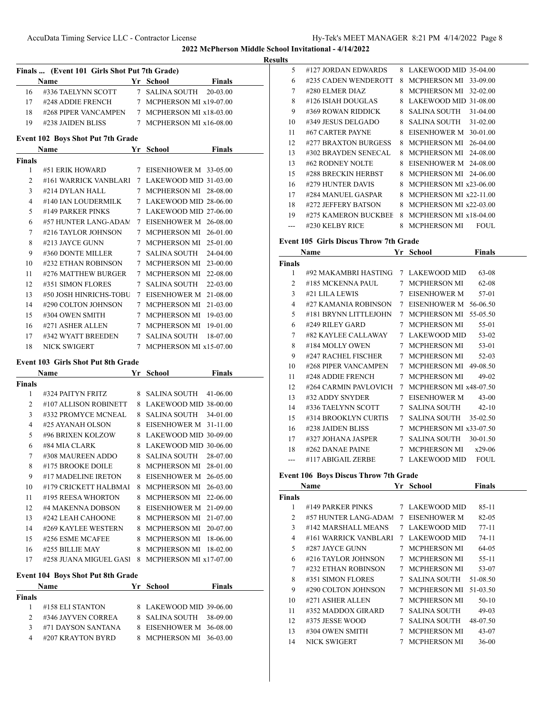**<u>esults</u>** 

|                |                                                                                 |    |                                               | ĸ |
|----------------|---------------------------------------------------------------------------------|----|-----------------------------------------------|---|
|                | Finals  (Event 101 Girls Shot Put 7th Grade)                                    |    |                                               |   |
|                | Name                                                                            |    | <b>School</b> Finals                          |   |
|                | $16$ $\quad$ #336 TAELYNN SCOTT $\qquad$ 7 $\,$ SALINA SOUTH $\,$ 20-03.00 $\,$ |    |                                               |   |
|                | 17 #248 ADDIE FRENCH 7 MCPHERSON MI x19-07.00                                   |    |                                               |   |
|                | 18 #268 PIPER VANCAMPEN 7 MCPHERSON MI x18-03.00                                |    |                                               |   |
|                | 19 #238 JAIDEN BLISS 7 MCPHERSON MI x16-08.00                                   |    |                                               |   |
|                | <b>Event 102 Boys Shot Put 7th Grade</b>                                        |    |                                               |   |
|                | Name Yr School                                                                  |    | Finals                                        |   |
| Finals         |                                                                                 |    |                                               |   |
| 1              |                                                                                 |    | #51 ERIK HOWARD 7 EISENHOWER M 33-05.00       |   |
| $\overline{2}$ |                                                                                 |    | #161 WARRICK VANBLARI 7 LAKEWOOD MID 31-03.00 |   |
| 3              |                                                                                 |    | #214 DYLAN HALL 7 MCPHERSON MI 28-08.00       |   |
| $\overline{4}$ | #140 IAN LOUDERMILK 7 LAKEWOOD MID 28-06.00                                     |    |                                               |   |
| 5              |                                                                                 |    | #149 PARKER PINKS 7 LAKEWOOD MID 27-06.00     |   |
| 6              |                                                                                 |    | #57 HUNTER LANG-ADAM 7 EISENHOWER M 26-08.00  |   |
| 7              |                                                                                 |    | #216 TAYLOR JOHNSON 7 MCPHERSON MI 26-01.00   |   |
| 8              | #213 JAYCE GUNN                                                                 |    | 7 MCPHERSON MI 25-01.00                       |   |
| 9              | #360 DONTE MILLER                                                               |    | 7 SALINA SOUTH 24-04.00                       |   |
| 10             | #232 ETHAN ROBINSON                                                             |    | 7 MCPHERSON MI 23-00.00                       |   |
| 11             |                                                                                 |    | #276 MATTHEW BURGER 7 MCPHERSON MI 22-08.00   |   |
| 12             | #351 SIMON FLORES                                                               |    | 7 SALINA SOUTH 22-03.00                       |   |
| 13             | #50 JOSH HINRICHS-TOBU 7 EISENHOWER M 21-08.00                                  |    |                                               |   |
| 14             |                                                                                 |    | #290 COLTON JOHNSON 7 MCPHERSON MI 21-03.00   |   |
| 15             | #304 OWEN SMITH                                                                 |    | 7 MCPHERSON MI 19-03.00                       |   |
|                | 16 #271 ASHER ALLEN 7 MCPHERSON MI 19-01.00                                     |    |                                               |   |
| 17             | #342 WYATT BREEDEN 7 SALINA SOUTH 18-07.00                                      |    |                                               |   |
| 18             | NICK SWIGERT                                                                    |    | 7 MCPHERSON MI x15-07.00                      |   |
|                |                                                                                 |    |                                               |   |
|                | <b>Event 103 Girls Shot Put 8th Grade</b>                                       |    | <b>Finals</b>                                 |   |
| Finals         | <b>School</b> School<br>Name                                                    |    |                                               |   |
| $\mathbf{1}$   | #324 PAITYN FRITZ                                                               |    | 8 SALINA SOUTH 41-06.00                       |   |
| $\overline{2}$ |                                                                                 |    | #107 ALLISON ROBINETT 8 LAKEWOOD MID 38-00.00 |   |
| 3              |                                                                                 |    | #332 PROMYCE MCNEAL 8 SALINA SOUTH 34-01.00   |   |
| $\overline{4}$ | #25 AYANAH OLSON 8 EISENHOWER M 31-11.00                                        |    |                                               |   |
| 5              | #96 BRIXEN KOLZOW 8 LAKEWOOD MID 30-09.00                                       |    |                                               |   |
| 6              | #84 MIA CLARK                                                                   |    | 8 LAKEWOOD MID 30-06.00                       |   |
| 7              | #308 MAUREEN ADDO                                                               |    | 8 SALINA SOUTH<br>28-07.00                    |   |
| 8              | #175 BROOKE DOILE                                                               | 8. | MCPHERSON MI<br>28-01.00                      |   |
| 9              | #17 MADELINE IRETON                                                             | 8  | EISENHOWER M<br>26-05.00                      |   |
| 10             | #179 CRICKETT HALBMAI                                                           |    | 8 MCPHERSON MI 26-03.00                       |   |
| 11             | #195 REESA WHORTON                                                              | 8  | MCPHERSON MI 22-06.00                         |   |
| 12             | #4 MAKENNA DOBSON                                                               | 8  | EISENHOWER M 21-09.00                         |   |
| 13             | #242 LEAH CAHOONE                                                               | 8  | MCPHERSON MI 21-07.00                         |   |
| 14             | #269 KAYLEE WESTERN                                                             |    | 8 MCPHERSON MI 20-07.00                       |   |
| 15             | #256 ESME MCAFEE                                                                |    | 8 MCPHERSON MI 18-06.00                       |   |
| 16             | #255 BILLIE MAY                                                                 |    | 8 MCPHERSON MI 18-02.00                       |   |
| 17             | #258 JUANA MIGUEL GASI                                                          | 8  | MCPHERSON MI x17-07.00                        |   |
|                |                                                                                 |    |                                               |   |
|                | <b>Event 104 Boys Shot Put 8th Grade</b>                                        |    |                                               |   |
|                | <b>Name</b>                                                                     |    | Yr School<br><b>Finals</b>                    |   |
| Finals         |                                                                                 |    |                                               |   |
| 1              | #158 ELI STANTON                                                                |    | 8 LAKEWOOD MID 39-06.00                       |   |

 #346 JAYVEN CORREA 8 SALINA SOUTH 38-09.00 #71 DAYSON SANTANA 8 EISENHOWER M 36-08.00 #207 KRAYTON BYRD 8 MCPHERSON MI 36-03.00

|    | I HIVILALIONAI – 4/14/ZUZZ |   |                                     |
|----|----------------------------|---|-------------------------------------|
| S  |                            |   |                                     |
| 5  | #127 JORDAN EDWARDS        | 8 | LAKEWOOD MID 35-04.00               |
| 6  | #235 CADEN WENDEROTT       | 8 | <b>MCPHERSON MI</b><br>33-09.00     |
| 7  | #280 ELMER DIAZ            | 8 | <b>MCPHERSON MI</b><br>$32 - 02.00$ |
| 8  | #126 ISIAH DOUGLAS         | 8 | LAKEWOOD MID 31-08.00               |
| 9  | #369 ROWAN RIDDICK         | 8 | <b>SALINA SOUTH</b><br>$31-04.00$   |
| 10 | #349 JESUS DELGADO         | 8 | <b>SALINA SOUTH</b><br>$31 - 02.00$ |
| 11 | #67 CARTER PAYNE           | 8 | EISENHOWER M<br>30-01.00            |
| 12 | #277 BRAXTON BURGESS       | 8 | <b>MCPHERSON MI</b><br>$26-04.00$   |
| 13 | #302 BRAYDEN SENECAL       | 8 | <b>MCPHERSON MI</b><br>24-08.00     |
| 13 | #62 RODNEY NOLTE           | 8 | EISENHOWER M<br>24-08.00            |
| 15 | #288 BRECKIN HERBST        | 8 | MCPHERSON MI 24-06.00               |
| 16 | #279 HUNTER DAVIS          | 8 | MCPHERSON MI x23-06.00              |
| 17 | #284 MANUEL GASPAR         | 8 | MCPHERSON MI x22-11.00              |
| 18 | #272 JEFFERY BATSON        | 8 | MCPHERSON MI x22-03.00              |
| 19 | #275 KAMERON BUCKBEF       | 8 | MCPHERSON MI x18-04.00              |
|    | #230 KELBY RICE            | 8 | <b>MCPHERSON MI</b><br>FOUL.        |

# **Event 105 Girls Discus Throw 7th Grade**<br>Name **Vr. School**

| <b>Name</b>    |                       |   | Yr<br><b>School</b>    | Finals      |  |
|----------------|-----------------------|---|------------------------|-------------|--|
| <b>Finals</b>  |                       |   |                        |             |  |
| 1              | #92 MAKAMBRI HASTING  |   | 7 LAKEWOOD MID         | 63-08       |  |
| $\overline{c}$ | #185 MCKENNA PAUL     | 7 | <b>MCPHERSON MI</b>    | 62-08       |  |
| 3              | #21 LILA LEWIS        | 7 | <b>EISENHOWER M</b>    | 57-01       |  |
| 4              | #27 KAMANIA ROBINSON  | 7 | <b>EISENHOWER M</b>    | 56-06.50    |  |
| 5              | #181 BRYNN LITTLEJOHN | 7 | <b>MCPHERSON MI</b>    | 55-05.50    |  |
| 6              | #249 RILEY GARD       | 7 | <b>MCPHERSON MI</b>    | 55-01       |  |
| 7              | #82 KAYLEE CALLAWAY   | 7 | LAKEWOOD MID           | 53-02       |  |
| 8              | #184 MOLLY OWEN       | 7 | <b>MCPHERSON MI</b>    | 53-01       |  |
| 9              | #247 RACHEL FISCHER   | 7 | <b>MCPHERSON MI</b>    | 52-03       |  |
| 10             | #268 PIPER VANCAMPEN  | 7 | <b>MCPHERSON MI</b>    | 49-08.50    |  |
| 11             | #248 ADDIE FRENCH     | 7 | <b>MCPHERSON MI</b>    | $49-02$     |  |
| 12             | #264 CARMIN PAVLOVICH | 7 | MCPHERSON MI x48-07.50 |             |  |
| 13             | #32 ADDY SNYDER       | 7 | <b>EISENHOWER M</b>    | $43 - 00$   |  |
| 14             | #336 TAELYNN SCOTT    | 7 | <b>SALINA SOUTH</b>    | $42 - 10$   |  |
| 15             | #314 BROOKLYN CURTIS  | 7 | <b>SALINA SOUTH</b>    | 35-02.50    |  |
| 16             | #238 JAIDEN BLISS     | 7 | MCPHERSON MI x33-07.50 |             |  |
| 17             | #327 JOHANA JASPER    | 7 | <b>SALINA SOUTH</b>    | 30-01.50    |  |
| 18             | #262 DANAE PAINE      | 7 | <b>MCPHERSON MI</b>    | $x29-06$    |  |
|                | #117 ABIGAIL ZERBE    | 7 | LAKEWOOD MID           | <b>FOUL</b> |  |
|                |                       |   |                        |             |  |

#### **Event 106 Boys Discus Throw 7th Grade**

|                | Name                  | Yr | School              | <b>Finals</b> |  |
|----------------|-----------------------|----|---------------------|---------------|--|
| Finals         |                       |    |                     |               |  |
| 1              | #149 PARKER PINKS     | 7  | LAKEWOOD MID        | $85 - 11$     |  |
| 2              | #57 HUNTER LANG-ADAM  | 7  | EISENHOWER M        | 82-05         |  |
| 3              | #142 MARSHALL MEANS   | 7  | <b>LAKEWOOD MID</b> | 77-11         |  |
| $\overline{4}$ | #161 WARRICK VANBLARI | 7  | LAKEWOOD MID        | 74-11         |  |
| 5              | #287 JAYCE GUNN       | 7  | <b>MCPHERSON MI</b> | 64-05         |  |
| 6              | #216 TAYLOR JOHNSON   | 7  | <b>MCPHERSON MI</b> | $55 - 11$     |  |
| 7              | #232 ETHAN ROBINSON   | 7  | <b>MCPHERSON MI</b> | 53-07         |  |
| 8              | #351 SIMON FLORES     | 7  | <b>SALINA SOUTH</b> | 51-08.50      |  |
| 9              | #290 COLTON JOHNSON   | 7  | <b>MCPHERSON MI</b> | 51-03.50      |  |
| 10             | #271 ASHER ALLEN      | 7  | <b>MCPHERSON MI</b> | $50-10$       |  |
| 11             | #352 MADDOX GIRARD    | 7  | <b>SALINA SOUTH</b> | 49-03         |  |
| 12             | #375 JESSE WOOD       | 7  | <b>SALINA SOUTH</b> | 48-07.50      |  |
| 13             | #304 OWEN SMITH       | 7  | <b>MCPHERSON MI</b> | 43-07         |  |
| 14             | NICK SWIGERT          | 7  | <b>MCPHERSON MI</b> | 36-00         |  |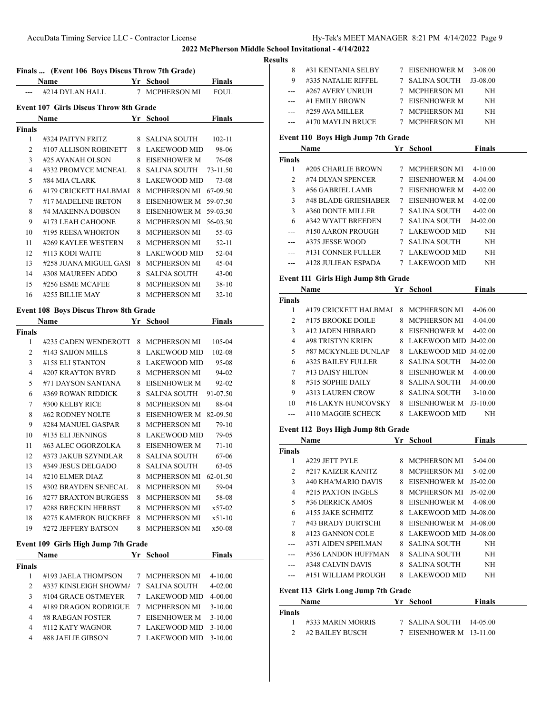### **Results**

| Finals  (Event 106 Boys Discus Throw 7th Grade) |                                               |   |                |               |  |  |
|-------------------------------------------------|-----------------------------------------------|---|----------------|---------------|--|--|
|                                                 | Name                                          |   | Yr School      | <b>Finals</b> |  |  |
|                                                 | #214 DYLAN HALL                               |   | 7 MCPHERSON MI | <b>FOUL</b>   |  |  |
|                                                 |                                               |   |                |               |  |  |
|                                                 | <b>Event 107 Girls Discus Throw 8th Grade</b> |   |                |               |  |  |
|                                                 | <b>Name</b>                                   |   | Yr School      | <b>Finals</b> |  |  |
| <b>Finals</b>                                   |                                               |   |                |               |  |  |
| $\mathbf{1}$                                    | #324 PAITYN FRITZ 8 SALINA SOUTH              |   |                | $102 - 11$    |  |  |
| $\overline{c}$                                  | #107 ALLISON ROBINETT                         |   | 8 LAKEWOOD MID | 98-06         |  |  |
| 3                                               | #25 AYANAH OLSON                              |   | 8 EISENHOWER M | 76-08         |  |  |
| 4                                               | #332 PROMYCE MCNEAL                           |   | 8 SALINA SOUTH | 73-11.50      |  |  |
| 5                                               | #84 MIA CLARK                                 |   | 8 LAKEWOOD MID | 73-08         |  |  |
| 6                                               | #179 CRICKETT HALBMAI                         | 8 | MCPHERSON MI   | 67-09.50      |  |  |
| 7                                               | #17 MADELINE IRETON                           |   | 8 EISENHOWER M | 59-07.50      |  |  |
| 8                                               | #4 MAKENNA DOBSON                             |   | 8 EISENHOWER M | 59-03.50      |  |  |
| 9                                               | #173 LEAH CAHOONE                             |   | 8 MCPHERSON MI | 56-03.50      |  |  |
| 10                                              | #195 REESA WHORTON                            |   | 8 MCPHERSON MI | 55-03         |  |  |
| 11                                              | #269 KAYLEE WESTERN                           |   | 8 MCPHERSON MI | $52 - 11$     |  |  |
| 12                                              | #113 KODI WAITE                               | 8 | LAKEWOOD MID   | $52 - 04$     |  |  |
| 13                                              | #258 JUANA MIGUEL GASI                        |   | 8 MCPHERSON MI | $45-04$       |  |  |
| 14                                              | #308 MAUREEN ADDO                             |   | 8 SALINA SOUTH | $43 - 00$     |  |  |
| 15                                              | #256 ESME MCAFEE                              |   | 8 MCPHERSON MI | $38-10$       |  |  |
| 16                                              | #255 BILLIE MAY                               |   | 8 MCPHERSON MI | $32 - 10$     |  |  |
|                                                 | $E = 1400 \text{ R}$                          |   |                |               |  |  |

# **Event 108 Boys Discus Throw 8th Grade**

| Name          |                      |   | Yr<br><b>School</b> | Finals      |  |
|---------------|----------------------|---|---------------------|-------------|--|
| <b>Finals</b> |                      |   |                     |             |  |
| 1             | #235 CADEN WENDEROTT | 8 | <b>MCPHERSON MI</b> | $105 - 04$  |  |
| 2             | #143 SALJON MILLS    | 8 | <b>LAKEWOOD MID</b> | 102-08      |  |
| $\mathcal{E}$ | #158 ELI STANTON     | 8 | <b>LAKEWOOD MID</b> | 95-08       |  |
| 4             | #207 KRAYTON BYRD    | 8 | <b>MCPHERSON MI</b> | 94-02       |  |
| 5             | #71 DAYSON SANTANA   | 8 | <b>EISENHOWER M</b> | $92 - 02$   |  |
| 6             | #369 ROWAN RIDDICK   | 8 | <b>SALINA SOUTH</b> | 91-07.50    |  |
| 7             | #300 KELBY RICE      | 8 | <b>MCPHERSON MI</b> | 88-04       |  |
| 8             | #62 RODNEY NOLTE     | 8 | <b>EISENHOWER M</b> | 82-09.50    |  |
| 9             | #284 MANUEL GASPAR   | 8 | <b>MCPHERSON MI</b> | $79-10$     |  |
| 10            | #135 ELI JENNINGS    | 8 | <b>LAKEWOOD MID</b> | 79-05       |  |
| 11            | #63 ALEC OGORZOLKA   | 8 | <b>EISENHOWER M</b> | $71 - 10$   |  |
| 12            | #373 JAKUB SZYNDLAR  | 8 | <b>SALINA SOUTH</b> | 67-06       |  |
| 13            | #349 JESUS DELGADO   | 8 | <b>SALINA SOUTH</b> | $63-05$     |  |
| 14            | #210 ELMER DIAZ      | 8 | <b>MCPHERSON MI</b> | 62-01.50    |  |
| 15            | #302 BRAYDEN SENECAL | 8 | <b>MCPHERSON MI</b> | 59-04       |  |
| 16            | #277 BRAXTON BURGESS | 8 | <b>MCPHERSON MI</b> | 58-08       |  |
| 17            | #288 BRECKIN HERBST  | 8 | <b>MCPHERSON MI</b> | $x 57 - 02$ |  |
| 18            | #275 KAMERON BUCKBEE | 8 | <b>MCPHERSON MI</b> | $x 51 - 10$ |  |
| 19            | #272 JEFFERY BATSON  | 8 | <b>MCPHERSON MI</b> | $x50-08$    |  |

# **Event 109 Girls High Jump 7th Grade**

|               | <b>Name</b>            |   | Yr School           | <b>Finals</b> |
|---------------|------------------------|---|---------------------|---------------|
| <b>Finals</b> |                        |   |                     |               |
|               | #193 JAELA THOMPSON    | 7 | MCPHERSON MI        | $4 - 10.00$   |
| $\mathcal{L}$ | #337 KINSLEIGH SHOWMA  | 7 | SALINA SOUTH        | $4 - 02.00$   |
| 3             | #104 GRACE OSTMEYER    |   | 7 LAKEWOOD MID      | $4 - 00.00$   |
| 4             | $#189$ DRAGON RODRIGUE | 7 | MCPHERSON MI        | $3-10.00$     |
| 4             | #8 RAEGAN FOSTER       |   | <b>EISENHOWER M</b> | $3-10.00$     |
| 4             | #112 KATY WAGNOR       |   | LAKEWOOD MID        | $3-10.00$     |
| 4             | #88 JAELIE GIBSON      |   | LAKEWOOD MID        | 3-10.00       |

| 8     | #31 KENTANIA SELBY  | 7 EISENHOWER M | 3-08.00  |
|-------|---------------------|----------------|----------|
| 9     | #335 NATALIE RIFFEL | 7 SALINA SOUTH | J3-08.00 |
|       | #267 AVERY UNRUH    | 7 MCPHERSON MI | NH       |
| $---$ | #1 EMILY BROWN      | 7 EISENHOWER M | NH       |
|       | #259 AVA MILLER     | 7 MCPHERSON MI | NH       |
|       | #170 MAYLIN BRUCE   | 7 MCPHERSON MI | NH       |
|       |                     |                |          |

### **Event 110 Boys High Jump 7th Grade**

|                 | Event 110 <i>Doys</i> 111gh bump 7th Graue<br><b>Name</b> | Yr School               | Finals        |  |
|-----------------|-----------------------------------------------------------|-------------------------|---------------|--|
| <b>Finals</b>   |                                                           |                         |               |  |
| 1               | #205 CHARLIE BROWN                                        | 7 MCPHERSON MI          | $4 - 10.00$   |  |
| 2               | #74 DLYAN SPENCER                                         | 7 EISENHOWER M          | $4 - 04.00$   |  |
| 3 <sup>7</sup>  | #56 GABRIEL LAMB                                          | 7 EISENHOWER M          | $4 - 02.00$   |  |
| 3               | #48 BLADE GRIESHABER                                      | 7 EISENHOWER M          | $4 - 02.00$   |  |
| 3               | #360 DONTE MILLER                                         | 7 SALINA SOUTH          | 4-02.00       |  |
| 6               | #342 WYATT BREEDEN                                        | 7 SALINA SOUTH          | J4-02.00      |  |
| ---             | #150 AARON PROUGH                                         | 7 LAKEWOOD MID          | NH            |  |
| ---             | #375 JESSE WOOD                                           | 7 SALINA SOUTH          | NH            |  |
| ---             | #131 CONNER FULLER                                        | 7 LAKEWOOD MID          | NH            |  |
|                 | #128 JULIEAN ESPADA                                       | 7 LAKEWOOD MID          | NH            |  |
|                 | Event 111 Girls High Jump 8th Grade                       |                         |               |  |
|                 | <b>Name</b>                                               | Yr School               | <b>Finals</b> |  |
| <b>Finals</b>   |                                                           |                         |               |  |
| 1               | #179 CRICKETT HALBMAI                                     | 8 MCPHERSON MI          | 4-06.00       |  |
| 2               | #175 BROOKE DOILE                                         | 8 MCPHERSON MI 4-04.00  |               |  |
| 3 <sup>1</sup>  | #12 JADEN HIBBARD                                         | 8 EISENHOWER M          | $4 - 02.00$   |  |
| $4\overline{ }$ | #98 TRISTYN KRIEN                                         | 8 LAKEWOOD MID J4-02.00 |               |  |
| 5               | #87 MCKYNLEE DUNLAP                                       | 8 LAKEWOOD MID J4-02.00 |               |  |
| 6               | #325 BAILEY FULLER                                        | 8 SALINA SOUTH          | J4-02.00      |  |
| 7               | #13 DAISY HILTON                                          | 8 EISENHOWER M 4-00.00  |               |  |
| 8               | #315 SOPHIE DAILY                                         | 8 SALINA SOUTH          | J4-00.00      |  |
| 9               | #313 LAUREN CROW                                          | 8 SALINA SOUTH          | $3-10.00$     |  |
| 10              | #16 LAKYN HUNCOVSKY                                       | 8 EISENHOWER M          | $J3-10.00$    |  |
| ---             | #110 MAGGIE SCHECK                                        | 8 LAKEWOOD MID          | NH            |  |
|                 | Event 112 Boys High Jump 8th Grade                        |                         |               |  |
|                 | <b>Name</b>                                               | Yr School               | <b>Finals</b> |  |
| Finals          |                                                           |                         |               |  |
| 1               | #229 JETT PYLE                                            | 8 MCPHERSON MI 5-04.00  |               |  |
| $\mathbf{2}$    | #217 KAIZER KANITZ                                        | 8 MCPHERSON MI 5-02.00  |               |  |
| 3 <sup>7</sup>  | #40 KHA'MARIO DAVIS                                       | 8 EISENHOWER M          | J5-02.00      |  |
| $\overline{4}$  | #215 PAXTON INGELS                                        | 8 MCPHERSON MI          | $J5-02.00$    |  |
| 5               | #36 DERRICK AMOS                                          | 8 EISENHOWER M          | 4-08.00       |  |
| 6               | #155 JAKE SCHMITZ                                         | 8 LAKEWOOD MID J4-08.00 |               |  |
| 7               | #43 BRADY DURTSCHI                                        | 8 EISENHOWER M          | J4-08.00      |  |
| 8               | #123 GANNON COLE                                          | 8 LAKEWOOD MID J4-08.00 |               |  |
|                 | #371 AIDEN SPEILMAN 8 SALINA SOUTH NH                     |                         |               |  |
|                 | #356 LANDON HUFFMAN                                       | 8 SALINA SOUTH          | NH            |  |
|                 | #348 CALVIN DAVIS                                         | 8 SALINA SOUTH          | NH            |  |
| $---$           | #151 WILLIAM PROUGH                                       | 8 LAKEWOOD MID          | NH            |  |
|                 | Event 113 Girls Long Jump 7th Grade                       |                         |               |  |
|                 | Name                                                      | Yr School               | <b>Finals</b> |  |
| Finals          |                                                           |                         |               |  |

| #333 MARIN MORRIS | 7 SALINA SOUTH 14-05.00 |  |
|-------------------|-------------------------|--|
| #2 BAILEY BUSCH   | 7 EISENHOWER M 13-11.00 |  |